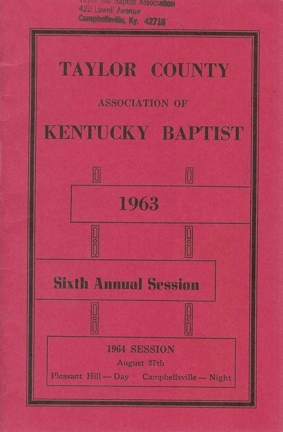

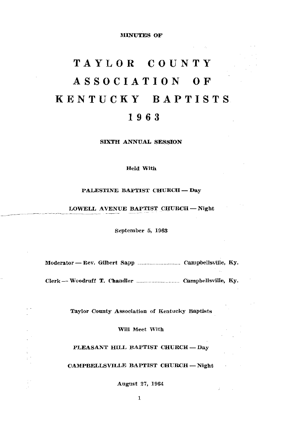**MINUTES OF** 

# TAYLOR COUNTY ASSOCIATION OF KENTUCKY BAPTISTS 1963

SIXTH ANNUAL SESSION

**Held With** 

### PALESTINE BAPTIST CHURCH - Day

### LOWELL AVENUE BAPTIST CHURCH-Night

September 5, 1963

Taylor County Association of Kentucky Baptists

Will Meet With

PLEASANT HILL BAPTIST CHURCH-Day

CAMPBELLSVILLE BAPTIST CHURCH-Night

August 27, 1964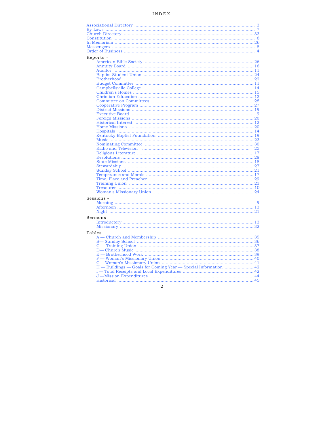# INDEX

| Reports -                                                       |                |
|-----------------------------------------------------------------|----------------|
|                                                                 |                |
|                                                                 |                |
|                                                                 |                |
|                                                                 |                |
|                                                                 |                |
|                                                                 |                |
|                                                                 |                |
|                                                                 |                |
|                                                                 |                |
|                                                                 |                |
|                                                                 |                |
|                                                                 |                |
|                                                                 |                |
|                                                                 |                |
|                                                                 |                |
|                                                                 |                |
|                                                                 |                |
|                                                                 |                |
|                                                                 |                |
|                                                                 |                |
|                                                                 |                |
|                                                                 |                |
|                                                                 |                |
|                                                                 |                |
|                                                                 |                |
|                                                                 |                |
|                                                                 |                |
|                                                                 |                |
|                                                                 |                |
|                                                                 |                |
|                                                                 |                |
|                                                                 |                |
| Sessions -                                                      |                |
|                                                                 | $\overline{Q}$ |
|                                                                 |                |
|                                                                 |                |
|                                                                 |                |
| Sermons -                                                       |                |
|                                                                 |                |
|                                                                 |                |
| Tables -                                                        |                |
|                                                                 |                |
|                                                                 |                |
|                                                                 |                |
|                                                                 |                |
|                                                                 |                |
|                                                                 |                |
|                                                                 |                |
| H - Buildings - Goals for Coming Year - Special Information  42 |                |
|                                                                 |                |
|                                                                 |                |
|                                                                 |                |
|                                                                 |                |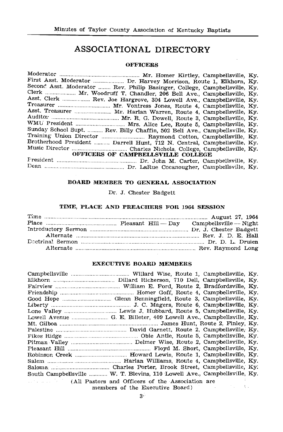# ASSOCIATIONAL DIRECTORY

### **OFFICERS**

| First Asst. Moderator  Dr. Harvey Morrison, Route 1, Elkhorn, Ky.           |  |
|-----------------------------------------------------------------------------|--|
| Second Asst. Moderator  Rev. Philip Basinger, College, Campbellsville, Ky.  |  |
| Clerk  Mr. Woodruff T. Chandler, 206 Bell Ave., Campbellsville, Ky.         |  |
| Asst. Clerk  Rev. Joe Hargrove, 304 Lowell Ave., Campbellsville, Ky.        |  |
| Treasurer  Mr. Vontress Jones, Route 4, Campbellsville, Ky.                 |  |
| Asst. Treasurer  Mr. Harlan Warren, Route 4, Campbellsville, Ky.            |  |
|                                                                             |  |
| WMU President  Mrs. Alice Lee, Route 5, Campbellsville, Ky.                 |  |
| Sunday School Supt.  Rev. Billy Chaffin, 502 Bell Ave., Campbellsville, Ky. |  |
|                                                                             |  |
| Brotherhood President  Darrell Hunt, 712 N. Central, Campbellsville, Ky.    |  |
|                                                                             |  |
| OFFICERS OF CAMPBELLSVILLE COLLEGE                                          |  |
|                                                                             |  |
|                                                                             |  |
|                                                                             |  |

### BOARD MEMBER TO GENERAL ASSOCIATION

Dr. J. Chester Badgett

### TIME, PLACE AND PREACHERS FOR 1964 SESSION

### **EXECUTIVE BOARD MEMBERS**

| Robinson Creek  Howard Lewis, Route 1, Campbellsville, Ky.                |
|---------------------------------------------------------------------------|
|                                                                           |
|                                                                           |
| South Campbellsville  W. T. Blevins, 110 Lowell Ave., Campbellsville, Ky. |
| (All Pastors and Officers of the Association are                          |
| members of the Executive Board)                                           |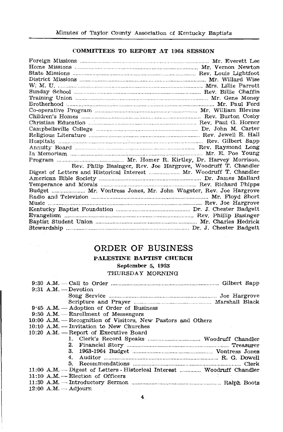### COMMITTEES TO REPORT AT 1964 SESSION

| Rev. Philip Basinger, Rev. Joe Hargrove, Woodruff T. Chandler       |  |
|---------------------------------------------------------------------|--|
| Digest of Letters and Historical Interest  Mr. Woodruff T. Chandler |  |
|                                                                     |  |
|                                                                     |  |
| Budget  Mr. Vontress Jones, Mr. John Wagster, Rev. Joe Hargrove     |  |
|                                                                     |  |
|                                                                     |  |
|                                                                     |  |
|                                                                     |  |
|                                                                     |  |
|                                                                     |  |

# ORDER OF BUSINESS

# PALESTINE BAPTIST CHURCH

September 5, 1963

### THURSDAY MORNING

|  | $9:31$ A.M. - Devotion                                                  |  |
|--|-------------------------------------------------------------------------|--|
|  |                                                                         |  |
|  |                                                                         |  |
|  | $9.45$ A.M. $-$ Adoption of Order of Business                           |  |
|  | $9:50$ A.M. – Enrollment of Messengers                                  |  |
|  | 10:00 A.M. - Recognition of Visitors, New Pastors and Others            |  |
|  | $10:10$ A.M. — Invitation to New Churches                               |  |
|  | 10:20 A.M. - Report of Executive Board                                  |  |
|  |                                                                         |  |
|  |                                                                         |  |
|  |                                                                         |  |
|  | 4.                                                                      |  |
|  |                                                                         |  |
|  | 11:00 A.M. - Digest of Letters - Historical Interest  Woodruff Chandler |  |
|  | $11:10$ A.M. - Election of Officers                                     |  |
|  |                                                                         |  |
|  | $12:00$ A.M. $-$ Adjourn                                                |  |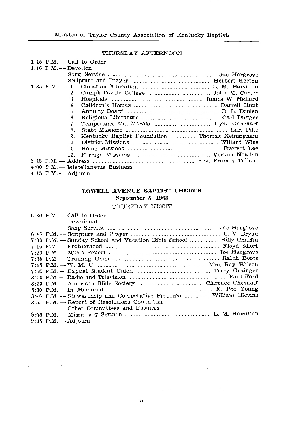# THURSDAY AFTERNOON

|                        | 1:15 $P.M. - Call$ to Order                    |  |
|------------------------|------------------------------------------------|--|
| $1:16$ P.M. - Devotion |                                                |  |
|                        |                                                |  |
|                        |                                                |  |
| $1:30$ F.M. - 1.       |                                                |  |
| 2.                     |                                                |  |
| з.                     |                                                |  |
| 4.                     |                                                |  |
| 5.                     |                                                |  |
| 6.                     |                                                |  |
| 7.                     |                                                |  |
| 8.                     |                                                |  |
| 9.                     | Kentucky Baptist Foundation  Thomas Keiningham |  |
| 10.                    |                                                |  |
| 11.                    |                                                |  |
| 12.                    |                                                |  |
|                        |                                                |  |
|                        | $4:00$ F.M. — Miscellaneous Business           |  |
| $4:15$ F.M. — Adjourn  |                                                |  |

# LOWELL AVENUE BAPTIST CHURCH September 5, 1963

# THURSDAY NIGHT

| $6:30$ P.M. -- Call to Order                                       |  |
|--------------------------------------------------------------------|--|
| Devotional                                                         |  |
|                                                                    |  |
|                                                                    |  |
| 7:00 I.M. - Sunday School and Vacation Bible School  Billy Chaffin |  |
|                                                                    |  |
|                                                                    |  |
|                                                                    |  |
|                                                                    |  |
|                                                                    |  |
|                                                                    |  |
|                                                                    |  |
|                                                                    |  |
| 8:40 F.M. -- Stewardship and Co-operative Program  William Blevins |  |
| $8:55$ P.M. - Report of Resolutions Committee:                     |  |
| Other Committees and Business                                      |  |
|                                                                    |  |
| $9:35$ P.M. $-$ Adjourn                                            |  |

 $\label{eq:2.1} \frac{1}{\sqrt{2\pi}}\int_{0}^{\infty}\frac{1}{\sqrt{2\pi}}\left(\frac{1}{\sqrt{2\pi}}\right)^{2\pi} \frac{1}{\sqrt{2\pi}}\frac{1}{\sqrt{2\pi}}\frac{1}{\sqrt{2\pi}}\frac{1}{\sqrt{2\pi}}\frac{1}{\sqrt{2\pi}}\frac{1}{\sqrt{2\pi}}\frac{1}{\sqrt{2\pi}}\frac{1}{\sqrt{2\pi}}\frac{1}{\sqrt{2\pi}}\frac{1}{\sqrt{2\pi}}\frac{1}{\sqrt{2\pi}}\frac{1}{\sqrt{2\pi}}\frac{1}{\sqrt{2\pi}}$ 

 $\label{eq:2.1} \frac{1}{\sqrt{2}}\left(\frac{1}{\sqrt{2}}\right)^{2}=\frac{1}{2}\left(\frac{1}{\sqrt{2}}\right)^{2}$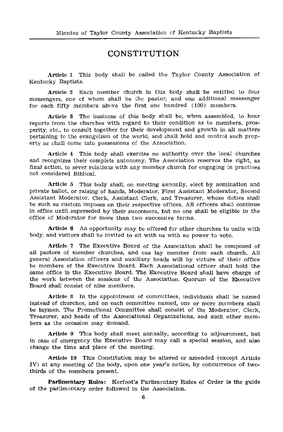# CONSTITUTION

Article 1 This body shall be called the Taylor County Association of Kentucky Baptists.

Article 2 Each member church in this body shall be entitled to four messengers, one of whom shall be the pastor, and one additional messenger for each fifty members above the first one hundred (100) members.

Article 3 The business of this body shall be, when assembled, to hear reports from the churches with regard to their condition as to members, prosperity, etc., to consult together for their development and growth in all matters pertaining to the evangelism of the world, and shall hold and control such property as shall come into possessions of the Association.

Article 4 This body shall exercise no authority over the local churches and recognizes their complete autonomy. The Association reserves the right, as final action, to sever relations with any member church for engaging in practices not considered Biblical.

Article 5 This body shall, on meeting annually, elect by nomination and private ballot, or raising of hands. Moderator, First Assistant Moderator, Second Assistant Moderator, Clerk, Assistant Clerk, and Treasurer, whose duties shall be such as custom imposes on their respective offices. All officers shall continue in office until superseded by their successors, but no one shall be eligible to the office of Moderator for more than two successive terms.

Article 6 An opportunity may be offered for other churches to unite with body, and visitors shall be invited to sit with us with no power to vote.

Article 7 The Executive Board of the Association shall be composed of all pastors of member churches, and one lay member from each church. All general Association officers and auxiliary heads will by virture of their office be members of the Executive Board. Each Associational officer shall hold the same office in the Executive Board. The Executive Board shall have charge of the work between the sessions of the Association. Quorum of the Executive Board shall consist of nine members.

Article 8 In the appointment of committees, individuals shall be named instead of churches, and on each committee named, one or more members shall be laymen. The Promotional Committee shall consist of the Moderator. Clerk. Treasurer, and heads of the Associational Organizations, and such other members as the occasion may demand.

Article 9 This body shall meet annually, according to adjournment, but in case of emergency the Executive Board may call a special session, and also change the time and place of the meeting.

Article 10 This Constitution may be altered or amended (except Article IV) at any meeting of the body, upon one year's notice, by concurrence of twothirds of the members present.

Parlimentary Rules: Kerfoot's Parlimentary Rules of Order is the guide of the parlimentary order followed in the Association.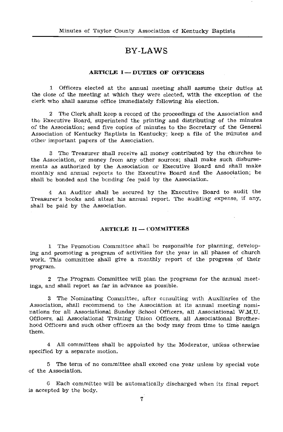# **RV-LAWS**

### **ARTICLE I-DUTTES OF OFFICERS**

1 Officers elected at the annual meeting shall assume their duties at the close of the meeting at which they were elected, with the exception of the clerk who shall assume office immediately following his election.

2 The Clerk shall keep a record of the proceedings of the Association and the Executive Board, superintend the printing and distributing of the minutes of the Association: send five copies of minutes to the Secretary of the General Association of Kentucky Baptists in Kentucky; keep a file of the minutes and other important papers of the Association.

3 The Treasurer shall receive all money contributed by the churches to the Association, or money from any other sources; shall make such disbursements as authorized by the Association or Executive Board and shall make monthly and annual reports to the Executive Board and the Association; he shall be bonded and the bonding fee paid by the Association.

4 An Auditor shall be secured by the Executive Board to audit the Treasurer's books and attest his annual report. The auditing expense, if any, shall be paid by the Association.

### **ARTICLE II - COMMITTEES**

1 The Promotion Committee shall be responsible for planning, developing and promoting a program of activities for the year in all phases of church work. This committee shall give a monthly report of the progress of their program.

2 The Program Committee will plan the programs for the annual meetings, and shall report as far in advance as possible.

3 The Nominating Committee, after consulting with Auxiliaries of the Association, shall recommend to the Association at its annual meeting nominations for all Associational Sunday School Officers, all Associational W.M.U. Officers, all Associational Training Union Officers, all Associational Brotherhood Officers and such other officers as the body may from time to time assign them.

4 All committees shall be appointed by the Moderator, unless otherwise specified by a separate motion.

5 The term of no committee shall exceed one year unless by special vote of the Association.

6 Each committee will be automatically discharged when its final report is accepted by the body.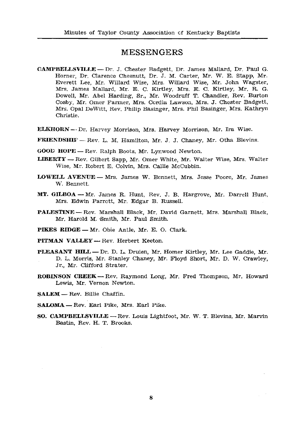# **MESSENGERS**

- **CAMPBELLSVILLE** Dr. J. Chester Badgett, Dr. James Mallard, Dr. Paul G. Horner, Dr. Clarence Chesnutt, Dr. J. M. Carter, Mr. W. E. Stapp, Mr. Everett Lee, Mr. Willard Wise, Mrs. Willard Wise, Mr. John Wagster, Mrs. James Mallard, Mr. E. C. Kirtley, Mrs. E. C. Kirtley, Mr. R. G. Dowell, Mr. Abel Harding, Sr., Mr. Woodruff T. Chandler, Rev. Burton Cosby, Mr. Omer Farmer, Mrs. Cordia Lawson, Mrs. J. Chester Badgett, Mrs. Opal DeWitt, Rev. Philip Basinger, Mrs. Phil Basinger, Mrs. Kathryn Christie.
- ELKHORN Dr. Harvey Morrison, Mrs. Harvey Morrison, Mr. Ira Wise.
- **FRIENDSHIF** Rev. L. M. Hamilton, Mr. J. J. Chaney, Mr. Otha Blevins.
- GOOD HOPE -- Rev. Ralph Boots, Mr. Lynwood Newton.
- **LIBERTY** Rev. Gilbert Sapp, Mr. Omer White, Mr. Walter Wise, Mrs. Walter Wise, Mr. Robert E. Colvin, Mrs. Callie McCubbin.
- LOWELL AVENUE Mrs. James W. Bennett, Mrs. Jesse Poore, Mr. James W. Bennett.
- MT. GILBOA Mr. James R. Hunt, Rev. J. B. Hargrove, Mr. Darrell Hunt, Mrs. Edwin Parrott, Mr. Edgar B. Russell.
- **PALESTINE** Rev. Marshall Black, Mr. David Garnett, Mrs. Marshall Black, Mr. Harold M. Smith, Mr. Paul Smith.
- PIKES RIDGE Mr. Obie Antle, Mr. E. O. Clark.
- PITMAN VALLEY Rev. Herbert Keeton.
- PLEASANT HILL Dr. D. L. Druien, Mr. Homer Kirtley, Mr. Lee Gaddie, Mr. D. L. Morris, Mr. Stanley Chaney, Mr. Floyd Short, Mr. D. W. Crawley, Jr., Mr. Clifford Strater.
- ROBINSON CREEK -- Rev. Raymond Long, Mr. Fred Thompson, Mr. Howard Lewis, Mr. Vernon Newton.
- SALEM Rev. Billie Chaffin.
- SALOMA Rev. Earl Pike, Mrs. Earl Pike.
- SO. CAMPBELLSVILLE Rev. Louis Lightfoot, Mr. W. T. Blevins, Mr. Marvin Bastin, Rev. H. T. Brooks.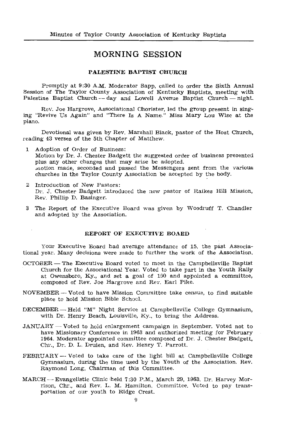# **MORNING SESSION**

## PALESTINE BAPTIST CHURCH

Promptly at 9:30 A.M. Moderator Sapp, called to order the Sixth Annual Session of The Taylor County Association of Kentucky Baptists, meeting with Palestine Baptist Church -- day and Lowell Avenue Baptist Church -- night.

Rev. Joe Hargrove, Associational Chorister, led the group present in singing "Revive Us Again" and "There Is A Name." Miss Mary Lou Wise at the piano.

Devotional was given by Rev. Marshall Black, pastor of the Host Church. reading 43 verses of the 5th Chapter of Matthew.

- 1 Adoption of Order of Business: Motion by Dr. J. Chester Badgett the suggested order of business presented plus any other changes that may arise be adopted. wotion made, seconded and passed the Messengers sent from the various churches in the Taylor County Association be accepted by the body.
- 2 Introduction of New Pastors: Dr. J. Chester Badgett introduced the new pastor of Raikes Hill Mission, Rev. Phillip D. Basinger.
- 3 The Report of the Executive Board was given by Woodruff T. Chandler and adopted by the Association.

### REPORT OF EXECUTIVE BOARD

Your Executive Board had average attendance of 15, the past Associational year. Many decisions were made to further the work of the Association.

- OCTOBER The Executive Board voted to meet in the Campbellsville Baptist Church for the Associational Year. Voted to take part in the Youth Rally at Owensboro, Ky., and set a goal of 100 and appointed a committee, composed of Rev. Joe Hargrove and Rev. Earl Pike.
- NOVEMBER --- Voted to have Mission Committee take census, to find suitable place to hold Mission Bible School.
- DECEMBER Held "M" Night Service at Campbellsville College Gymnasium, with Dr. Henry Beach, Louisville, Ky., to bring the Address.
- JANUARY -- Voted to hold enlargement campaign in September. Voted not to have Missionary Conference in 1963 and authorized meeting for February 1964. Moderator appointed committee composed of Dr. J. Chester Badgett. Chr., Dr. D. L. Druien, and Rev. Henry T. Parrott.
- FEBRUARY -- Voted to take care of the light bill at Campbellsville College Gymnasium, during the time used by the Youth of the Association. Rev. Raymond Long, Chairman of this Committee.
- MARCH -- Evangelistic Clinic held 7:30 P.M., March 29, 1963. Dr. Harvey Morrison, Chr., and Rev. L. M. Hamilton, Committee. Voted to pay transportation of our youth to Ridge Crest.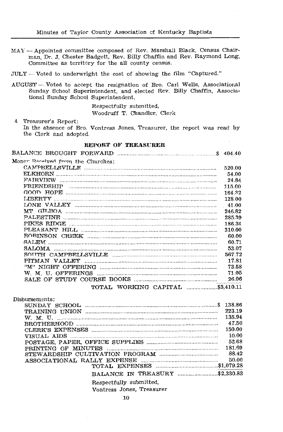MAY - Appointed committee composed of Rev. Marshall Black, Census Chairman, Dr. J. Chester Badgett, Rev. Billy Chaffin and Rev. Raymond Long, Committee as territory for the all county census.

JULY -- Voted to underwright the cost of showing the film "Captured."

AUGUST - Voted to accept the resignation of Bro. Carl Wells, Associational Sunday School Superintendent, and elected Rev. Billy Chaffin, Associational Sunday School Superintendent.

> Respectfully submitted, Woodruff T. Chandler, Clerk

Treasurer's Report:  $\overline{4}$ In the absence of Bro. Vontress Jones, Treasurer, the report was read by the Clerk and adopted.

### **REPORT OF TREASURER**

| Money Received from the Churches: |        |
|-----------------------------------|--------|
|                                   | 520.00 |
|                                   | 54.00  |
|                                   | 24.84  |
|                                   | 115.00 |
|                                   | 164.32 |
|                                   | 128.00 |
|                                   | 41.00  |
|                                   | 246.82 |
|                                   | 285.39 |
|                                   | 186.34 |
|                                   | 310.00 |
|                                   | 60.00  |
|                                   | 60.71  |
|                                   | 53.07  |
|                                   | 567.72 |
|                                   | 17.81  |
|                                   | 73.58  |
|                                   | 71.05  |
|                                   | 26.06  |
| TOTAL WORKING CAPITAL \$3,410.11  |        |

| Dishursements:                  |        |
|---------------------------------|--------|
|                                 |        |
|                                 | 223.19 |
|                                 | 135.94 |
|                                 | 47.50  |
|                                 | 150.00 |
| VISTIAL ATDS                    | 10.00  |
|                                 | 53.68  |
|                                 | 181.69 |
|                                 | 88.42  |
|                                 | 50.00  |
|                                 |        |
| BALANCE IN TREASURY  \$2,330.83 |        |
|                                 |        |

Respectfully submitted.

Vontress Jones, Treasurer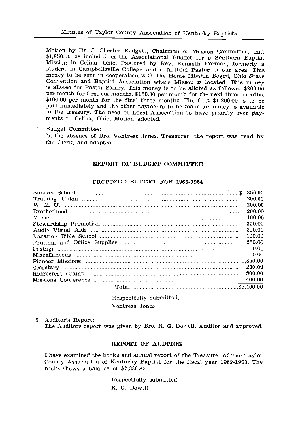Motion by Dr. J. Chester Badgett, Chairman of Mission Committee, that \$1,850.00 be included in the Associational Budget for a Southern Baptist Mission in Celina, Ohio, Pastored by Rev. Kenneth Forman, formerly a student in Campbellsville College and a faithful Pastor in our area. This money to be sent in cooperation with the Home Mission Board, Ohio State Convention and Baptist Association where Misson is located. This money is alloted for Pastor Salary. This money is to be alloted as follows: \$200.00 per month for first six months, \$150.00 per month for the next three months,  $$100.00$  per month for the final three months. The first \$1,200.00 is to be paid immediately and the other payments to be made as money is available in the treasury. The need of Local Association to have priority over payments to Celina. Ohio. Motion adopted.

5 Budget Committee:

In the absence of Bro. Vontress Jones, Treasurer, the report was read by the Clerk, and adopted.

### REPORT OF BUDGET COMMITTEE

### PROPOSED BUDGET FOR 1963-1964

|                     | 200.00 |
|---------------------|--------|
|                     | 200.00 |
|                     | 200.00 |
|                     | 100.00 |
|                     | 350.00 |
|                     | 200.00 |
|                     | 100.00 |
|                     | 250.00 |
|                     | 100.00 |
|                     | 100.00 |
|                     |        |
|                     | 200.00 |
|                     | 800.00 |
|                     | 400.00 |
| \$5,400,00<br>Total |        |

Respectfully submitted, Vontress Jones

6 Auditor's Report: The Auditors report was given by Bro. R. G. Dowell, Auditor and approved.

### REPORT OF AUDITOR

I have examined the books and annual report of the Treasurer of The Taylor County Association of Kentucky Baptist for the fiscal year 1962-1963. The books shows a balance of \$2,330.83.

> Respectfully submitted, R. G. Dowell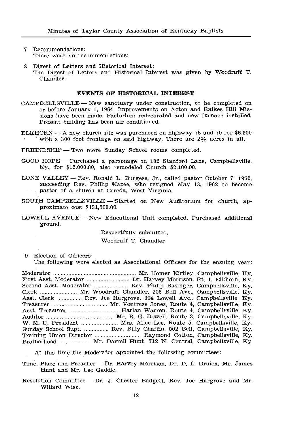- Recommendations:  $\mathcal{T}$ There were no recommendations:
- Digest of Letters and Historical Interest: 2 The Digest of Letters and Historical Interest was given by Woodruff T. Chandler.

#### EVENTS OF HISTORICAL INTEREST

- CAMPEELLSVILLE New sanctuary under construction, to be completed on or before January 1, 1964. Improvements on Acton and Raikes Hill Missions have been made. Pastorium redecorated and new furnace installed. Present building has been air conditioned.
- ELKHORN -- A new church site was purchased on highway 76 and 70 for \$6,500 with a 300 foot frontage on said highway. There are  $2\frac{1}{2}$  acres in all.
- FRIENDSHIP Two more Sunday School rooms completed.
- GOOD HOPE Purchased a parsonage on 102 Stanford Lane, Campbellsville, Ky., for \$12,000.00, also remodeled Church \$2,100.00.
- LONE VALLEY Rev. Ronald L. Burgess, Jr., called pastor October 7, 1962. succeeding Rev. Phillip Kazee, who resigned May 13, 1962 to become pastor of a church at Cereda, West Virginia.
- SOUTH CAMPBELLSVILLE -- Started on New Auditorium for church, approximate cost \$131,500.00.
- LOWELL AVENUE -- New Educational Unit completed. Purchased additional ground.

Respectfully submitted,

Woodruff T. Chandler

- 9 Election of Officers:
	- The following were elected as Associational Officers for the ensuing year:

Asst. Clerk ................ Rev. Joe Hargrove, 304 Lowell Ave., Campbellsville, Ky. W. M. U. President ........................ Mrs. Alice Lee, Route 5, Campbellsville, Ky. Sunday School Supt. ................ Rev. Billy Chaffin, 502 Bell, Campbellsville, Ky. Brotherhood ................... Mr. Darrell Hunt, 712 N. Central, Campbellsville, Ky.

At this time the Moderator appointed the following committees:

Time, Place and Preacher -- Dr. Harvey Morrison, Dr. D. L. Druien, Mr. James Hunt and Mr. Lee Gaddie.

Resolution Committee -- Dr. J. Chester Badgett, Rev. Joe Hargrove and Mr. Willard Wise.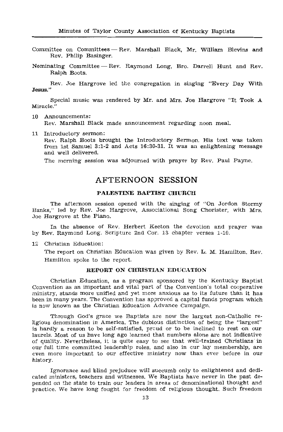Committee on Committees - Rev. Marshall Black, Mr. William Blevins and Rev. Philip Basinger.

Nominating Committee - Rev. Raymond Long, Bro. Darrell Hunt and Rev. Ralph Boots.

Rev. Joe Hargrove led the congregation in singing "Every Day With Jesus."

Special music was rendered by Mr. and Mrs. Joe Hargrove "It Took A Miracle."

- 10 Announcements: Rev. Marshall Black made announcement regarding noon meal.
- 11 Introductory sermon:

Rev. Ralph Boots brought the Introductory Sermon. His text was taken from 1st Samuel 3:1-2 and Acts 16:30-31. It was an enlightening message and well delivered.

The morning session was adjourned with prayer by Rev. Paul Payne.

# **AFTERNOON SESSION**

### PALESTINE BAPTIST CHURCH

The afternoon session opened with the singing of "On Jordon Stormy Banks." led by Rev. Joe Hargrove, Associational Song Chorister, with Mrs. Joe Hargrove at the Piano.

In the absence of Rev. Herbert Keeton the devotion and prayer was by Rev. Raymond Long. Scripture 2nd Cor. 13 chapter verses 1-10.

12 Christian Education:

The report on Christian Education was given by Rev. L. M. Hamilton, Rev. Hamilton spoke to the report.

### REPORT ON CHRISTIAN EDUCATION

Christian Education, as a program sponsored by the Kentucky Baptist Convention as an important and vital part of the Convention's total cooperative ministry, stands more unified and yet more anxious as to its future than it has been in many years. The Convention has approved a capital funds program which is now known as the Christian Education Advance Campaign.

Through God's grace we Baptists are now the largest non-Catholic religious denomination in America. The dubious distinction of being the "largest" is hardly a reason to be self-satisfied, proud or to be inclined to rest on our laurels. Most of us have long ago learned that numbers alone are not indicative of quality. Nevertheless, it is quite easy to see that well-trained Christians in our full time committed leadership roles, and also in our lay membership, are even more important to our effective ministry now than ever before in our history.

Ignorance and blind prejuduce will succumb only to enlightened and dedicated ministers, teachers and witnesses. We Baptists have never in the past depended on the state to train our leaders in areas of denominational thought and practice. We have long fought for freedom of religious thought. Such freedom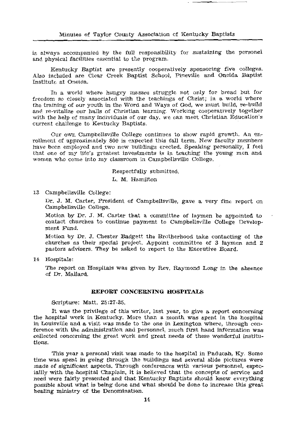is always accompanied by the full responsibility for sustaining the personel and physical facilities essential to the program.

Kentucky Baptist are presently cooperatively sponsoring five colleges. Also included are Clear Creek Baptist School, Pineville and Oneida Baptist Institute at Oneida.

In a world where hungry masses struggle not only for bread but for freedom so closely associated with the teachings of Christ; in a world where the training of our youth in the Word and Ways of God, we must build, re-build and re-vitalize our halls of Christian learning. Working cooperatively together with the help of many individuals of our day, we can meet Christian Education's current challenge to Kentucky Baptists.

Cur own Campbellsville College continues to show rapid growth. An enrollment of approximately 800 is expected this fall term. New faculty members have been employed and two new buildings erected. Speaking personally, I feel that one of my life's greatest investments is in teaching the young men and women who come into my classroom in Campbellsville College.

#### Respectfully submitted.

### L. M. Hamilton

13 Campbellsville College:

Dr. J. M. Carter, President of Campbellsville, gave a very fine report on Campbellsville College.

Motion by Dr. J. M. Carter that a committee of laymen be appointed to contact churches to continue payment to Campbellsville College Development Fund.

Motion by Dr. J. Chester Badgett the Brotherhood take contacting of the churches as their special project. Appoint committee of 3 laymen and 2 pastors advisers. They be asked to report to the Executive Board.

14 Hospitals:

The report on Hospitals was given by Rev. Raymond Long in the absence of Dr. Mallard.

#### REPORT CONCERNING HOSPITALS

Scripture: Matt. 25:27-35.

It was the privilege of this writer, last year, to give a report concerning the hospital work in Kentucky. More than a month was spent in the hospital in Louisville and a visit was made to the one in Lexington where, through conference with the administration and personnel, much first hand information was collected concerning the great work and great needs of these wonderful institutions.

This year a personal visit was made to the hospital in Paducah, Ky. Some time was spent in going through the buildings and several slide pictures were made of significant aspects. Through conferences with various personnel, especiallly with the hospital Chaplain, it is believed that the concepts of service and need were fairly presented and that Kentucky Baptists should know everything possible about what is being done and what should be done to increase this great healing ministry of the Denomination.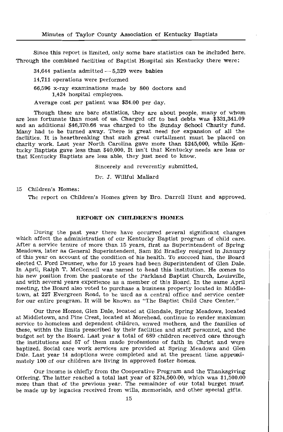Since this report is limited, only some bare statistics can be included here. Through the combined facilities of Baptist Hospital sin Kentucky there were:

- 34.644 patients admitted  $-5.329$  were babies
- 14.711 operations were performed
- 66.596 x-ray examinations made by 800 doctors and 1.424 hospital employees.
- Average cost per patient was \$34.00 per day.

Though these are bare statistics, they are about people, many of whom are less fortunate than most of us. Charged off to bad debts was \$331,341.09 and an additional \$46,370.66 was charged to the Sunday School Charity fund. Many had to be turned away. There is great need for expansion of all the facilities. It is heartbreaking that such great curtailment must be placed on charity work. Last year North Carolina gave more than \$245,000, while Kentucky Baptists gave less than \$40,000. It isn't that Kentucky needs are less or that Kentucky Baptists are less able, they just need to know.

Sincerely and reverently submitted.

Dr. J. Willful Mallard

15 Children's Homes:

The report on Children's Homes given by Bro. Darrell Hunt and approved.

### REPORT ON CHILDREN'S HOMES

During the past year there have occurred several significant changes which affect the administration of our Kentucky Baptist program of child care. After a service tenure of more than 15 years, first as Superintendent of Spring Meadows, later as General Superintendent, Sam Ed Bradley resigned in January of this year on account of the condition of his health. To succeed him, the Board elected C. Ford Deusner, who for 15 years had been Superintendent of Glen Dale. In April, Ralph T. McConnell was named to head this institution. He comes to his new position from the pastorate of the Parkland Baptist Church, Louisville. and with several years experience as a member of this Board. In the same April meeting, the Board also voted to purchase a business property located in Middletown, at 227 Evergreen Road, to be used as a central office and service center for our entire program. It will be known as "The Baptist Child Care Center."

Our three Homes, Glen Dale, located at Glendale, Spring Meadows, located at Middletown, and Pine Crest, located at Morehead, continue to render maximum service to homeless and dependent children, unwed mothers, and the families of these, within the limits prescribed by their facilities and staff personnel, and the budget set by the Board. Last year a total of 689 children received care through the institutions and 57 of them made professions of faith in Christ and were baptized. Social care work services are provided at Spring Meadows and Glen Dale. Last year 14 adoptions were completed and at the present time approximately 100 of our children are living in approved foster homes.

Our income is chiefly from the Cooperative Program and the Thanksgiving Offering. The latter reached a total last year of \$234,500.00, which was \$1,500.00 more than that of the previous year. The remainder of our total burget must be made up by legacies received from wills, memorials, and other special gifts.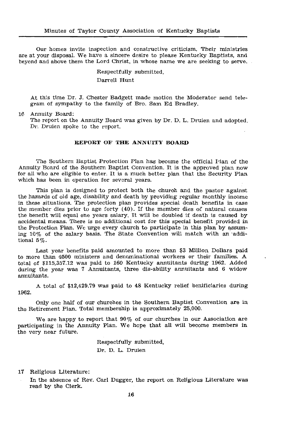Our homes invite inspection and constructive criticism. Their ministries are at your disposal. We have a sincere desire to please Kentucky Baptists, and beyond and above them the Lord Christ, in whose name we are seeking to serve.

> Respectfully submitted. Darrell Hunt

At this time Dr. J. Chester Badgett made motion the Moderator send telegram of sympathy to the family of Bro. Sam Ed Bradley.

16 Annuity Board:

The report on the Annuity Board was given by Dr. D. L. Druien and adopted. Dr. Druien spoke to the report.

### REPORT OF THE ANNUITY BOARD

The Southern Baptist Protection Plan has become the official I-lan of the Annuity Board of the Southern Baptist Convention. It is the approved plan now for all who are eligible to enter. It is a much better plan that the Security Plan which has been in operation for several years.

This plan is designed to protect both the church and the pastor against the hazards of old age, disability and death by providing regular monthly income in these situations. The protection plan provides special death benefits in case the member dies prior to age forty  $(40)$ . If the member dies of natural causes the benefit will equal one years salary. It will be doubled if death is caused by accidental means. There is no additional cost for this special benefit provided in the Protection Plan. We urge every church to participate in this plan by assuming 10% of the salary basis. The State Convention will match with an additional  $5\%$ .

Last year benefits paid amounted to more than \$3 Million Dollars paid to more than 4500 ministers and denominational workers or their families. A total of \$115,357.12 was paid to 160 Kentucky annuitants during 1962. Added during the year was 7 Annuitants, three dis-ability annuitants and 6 widow annuitants.

A total of \$12,429.79 was paid to 48 Kentucky relief benificiaries during 1962.

Only one half of our churches in the Southern Baptist Convention are in the Retirement Plan. Total membership is approximately 25,000.

We are happy to report that  $90\%$  of our churches in our Association are participating in the Annuity Plan. We hope that all will become members in the very near future.

> Respectfully submitted, Dr. D. L. Druien

- 17 Religious Literature:
	- In the absence of Rev. Carl Dugger, the report on Religious Literature was read by the Clerk.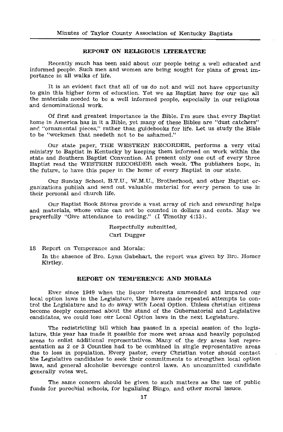### REPORT ON RELIGIOUS LITERATURE

Recently much has been said about our people being a well educated and informed people. Such men and women are being sought for plans of great importance in all walks of life.

It is an evident fact that all of us do not and will not have opportunity to gain this higher form of education. Yet we as Baptist have for our use all the materials needed to be a well informed people. especially in our religious and denominational work.

Of first and greatest importance is the Bible. I'm sure that every Baptist home in America has in it a Bible, yet many of these Bibles are "dust catchers" and "ornamental pieces," rather than guidebooks for life. Let us study the Bible to be "workmen that needeth not to be ashamed."

Our state paper, THE WESTERN RECORDER, performs a very vital ministry to Baptist in Kentucky by keeping them informed on work within the state and Southern Baptist Convention. At present only one out of every three Baptist read the WESTERN RECORDER each week. The publishers hope, in the future, to have this paper in the home of every Baptist in our state.

Our Sunday School, B.T.U., W.M.U., Brotherhood, and other Baptist organizations publish and send out valuable material for every person to use in their personal and church life.

Our Baptist Book Stores provide a vast array of rich and rewarding helps and materials, whose value can not be counted in dollars and cents. May we prayerfully "Give attendance to reading." (I Timothy 4:13).

> Respectfully submitted. Carl Dugger

18 Report on Temperance and Morals:

In the absence of Bro. Lynn Gabehart, the report was given by Bro. Homer Kirtley.

### REPORT ON TEMPERENCE AND MORALS

Ever since 1949 when the liquor interests ammended and impared our local option laws in the Legislature, they have made repeated attempts to control the Legislature and to do away with Local Option. Unless christian citizens become deeply concerned about the stand of the Gubernatorial and Legislative candidates, we could lose our Local Option laws in the next Legislature.

The redistricting bill which has passed in a special session of the legislature, this year has made it possible for more wet areas and heavily populated areas to enlist additional representatives. Many of the dry areas lost representation as 2 or 3 Counties had to be combined in single representative areas due to loss in population. Every pastor, every Christian voter should contact the Legislative candidates to seek their commitments to strengthen local option laws, and general alcoholic beverage control laws. An uncommitted candidate generally votes wet.

The same concern should be given to such matters as the use of public funds for porochial schools, for legalizing Bingo, and other moral issues.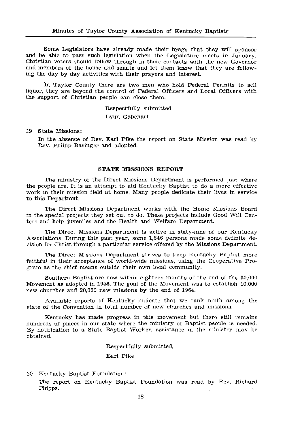Some Legislators have already made their brags that they will sponsor and be able to pass such legislation when the Legislature meets in January. Christian voters should follow through in their contacts with the new Governor and members of the house and senate and let them know that they are following the day by day activities with their prayers and interest.

In Taylor County there are two men who hold Federal Permits to sell liquor, they are beyond the control of Federal Officers and Local Officers with the support of Christian people can close them.

> Respectfully submitted, Lynn Gabehart

19 State Missions:

In the absence of Rev. Earl Pike the report on State Mission was read by Rev. Phillip Basinger and adopted.

### STATE MISSIONS REPORT

The ministry of the Direct Missions Department is performed just where the people are. It is an attempt to aid Kentucky Baptist to do a more effective work in their mission field at home. Many people dedicate their lives in service to this Departmnt.

The Direct Missions Department works with the Home Missions Board in the special projects they set out to do. These projects include Good Will Centers and help juveniles and the Health and Welfare Department.

The Direct Missions Department is active in sixty-nine of our Kentucky Associations. During this past year, some 1,846 persons made some definite decision for Christ through a particular service offered by the Missions Department.

The Direct Missions Department strives to keep Kentucky Baptist more faithful in their acceptance of world-wide missions, using the Cooperative Program as the chief means outside their own local community.

Southern Baptist are now within eighteen months of the end of the 30,000 Movement as adopted in 1956. The goal of the Movement was to establish 10,000 new churches and 20,000 new missions by the end of 1964.

Available reports of Kentucky indicate that we rank ninth among the state of the Convention in total number of new churches and missions.

Kentucky has made progress in this movement but there still remains hundreds of places in our state where the ministry of Baptist people is needed. By notification to a State Baptist Worker, assistance in the ministry may be obtained.

Respectfully submitted,

Earl Pike

20 Kentucky Baptist Foundation:

The report on Kentucky Baptist Foundation was read by Rev. Richard Phipps.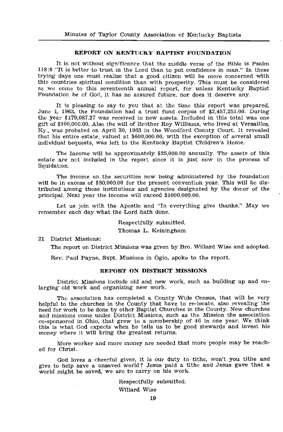### **REPORT ON KENTUCKY BAPTIST FOUNDATION**

It is not without significance that the middle verse of the Bible is Psalm 118:8 "It is better to trust in the Lord than to put confidence in man." In these trying days one must realize that a good citizen will be more concerned with this countries spiritual condition than with prosperity. This must be considered as we come to this seventeenth annual report, for unless Kentucky Baptist Foundation be of God, it has no assured future, nor does it deserve any.

It is pleasing to say to you that at the time this report was prepared, June 1, 1963, the Foundation had a trust fund corpus of  $$2,457,251.00$ . During the year \$179,087.27 was received in new assets. Included in this total was one gift of \$100,000.00. Also the will of Brother Roy Williams, who lived at Versailles, Ky., was probated on April 30, 1963 in the Woodford County Court. It revealed that his entire estate, valued at \$600,000.00, with the exception of several small individual bequests, was left to the Kentucky Baptist Children's Home.

The Income will be approximately \$25,000.00 annually. The assets of this estate are not included in the report since it is just now in the process of liquidation.

The income on the securities now being administered by the foundation will be in excess of \$80,000.00 for the present convention year. This will be distributed among those institutions and agencies designated by the donor of the principal. Next year the income will exceed \$1000,000.00.

Let us join with the Apostle and "In everything give thanks." May we remember each day what the Lord hath done.

#### Respectfully submitted,

Thomas L. Keiningham

21 District Missions:

The report on District Missions was given by Bro. Willard Wise and adopted.

Rev. Paul Payne, Supt. Missions in Ogio, spoke to the report.

### **REPORT ON DISTRICT MISSIONS**

District Missions include old and new work, such as building up and enlarging old work and organizing new work.

The association has completed a County Wide Census, that will be very helpful to the churches in the County that have to re-locate, also revealing the need for work to be done by other Baptist Churches in the County. New churches and missions come under District Missions, such as the Mission the association co-sponsored in Ohio, that grew to a membership of 46 in one year. We think this is what God expects when he tells us to be good stewards and invest his money where it will bring the greatest returns.

More worker and more money are needed that more people may be reached for Christ.

God loves a cheerful giver, it is our duty to tithe, won't you tithe and give to help save a unsaved world? Jesus paid a tithe and Jesus gave that a world might be saved, we are to carry on his work.

Respectfully submitted.

Willard Wise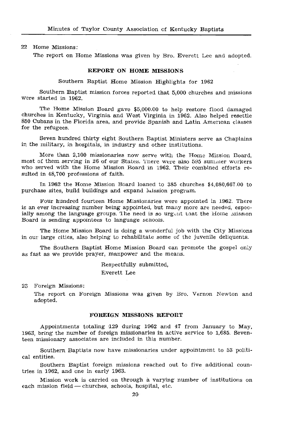### 22 Home Missions:

The report on Home Missions was given by Bro. Everett Lee and adopted.

### REPORT ON HOME MISSIONS

Southern Baptist Home Mission Highlights for 1962

Southern Baptist mission forces reported that 5,000 churches and missions were started in 1962.

The Home Mission Board gave \$5,000.00 to help restore flood damaged churches in Kentucky, Virginia and West Virginia in 1962. Also helped resettle 850 Cubans in the Florida area, and provide Spanish and Latin American classes for the refugees.

Seven hundred thirty eight Southern Baptist Ministers serve as Chaplains in the military, in hospitals, in industry and other institutions.

More than 2,100 missionaries now serve with the Home Mission Board, most of them serving in 26 of our States. There were also 595 summer workers who served with the Home Mission Board in 1962. Their combined efforts resulted in 48.700 professions of faith.

In 1962 the Home Mission Board loaned to 385 churches \$4,080,667.00 to purchase sites, build buildings and expand luission program.

Four hundred fourteen Home Missionaries were appointed in 1962. There is an ever increasing number being appointed, but many more are needed, especially among the language groups. The need is so urgent that the Home mission Board is sending appointees to language schools.

The Home Mission Board is doing a wonderful job with the City Missions in our large cities, also helping to rehabilitate some of the juvenile deliquents.

The Southern Baptist Home Mission Board can promote the gospel only as fast as we provide prayer, manpower and the means.

> Respectfully submitted, **Everett** Lee

23 Foreign Missions:

The report on Foreign Missions was given by Bro. Vernon Newton and adopted.

### FOREIGN MISSIONS REPORT

Appointments totaling 129 during 1962 and 47 from January to May, 1963, bring the number of foreign missionaries in active service to 1,685. Seventeen missionary associates are included in this number.

Southern Baptists now have missionaries under appointment to 53 political entities.

Southern Baptist foreign missions reached out to five additional countries in 1962, and one in early 1963.

Mission work is carried on through a varying number of institutions on each mission field - churches, schools, hospital, etc.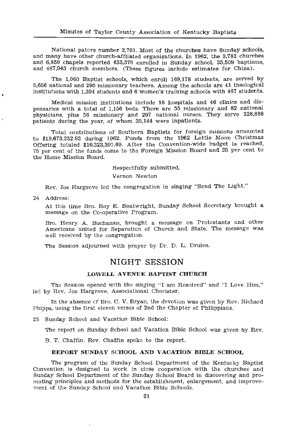National paters number 2,701. Most of the churches have Sunday schools, and many have other church-affliated organizations. In 1962, the 3,783 churches and 6.850 chapels reported 433.379 enrolled in Sunday school, 35,509 baptisms, and 487,943 church members. (These figures include estimates for China).

The 1,060 Baptist schools, which enroll 169,178 students, are served by 5,656 national and 290 missionary teachers. Among the schools are 41 theological institutions with 1,394 students and 6 women's training schools with 467 students.

Medical mission institutions include 18 hospitals and 46 clinics and dispensaries with a total of 1,156 beds. There are 55 missionary and 82 national physicians, plus 56 missionary and 207 national nurses. They serve 328,898 patients during the year, of whom 35,144 were inpatients.

Total contributions of Southern Baptists for foreign missions amounted to \$19,673,232.93 during 1962. Funds from the 1962 Lottie Moon Christmas Offering totaled \$10,323,591.69. After the Convention-wide budget is reached, 75 per cent of the funds come to the Foreign Mission Board and 25 per cent to the Home Mission Board.

Respectfully submitted,

Vernon Newton

Rev. Joe Hargrove led the congregation in singing "Send The Light."

24 Address:

ł.

At this time Bro. Roy E. Boatwright, Sunday School Secretary brought a message on the Co-operative Program.

Bro. Henry A. Buchanan, brought a message on Protestants and other Americans united for Separation of Church and State. The message was well received by the congregation.

The Session adjourned with prayer by Dr. D. L. Druien.

# NIGHT SESSION

### LOWELL AVENUE BAPTIST CHURCH

The Session opened with the singing "I am Resolved" and "I Love Him," led by Rev. Joe Hargrove, Associational Chorister.

In the absence of Bro. C. V. Bryan, the devotion was given by Rev. Richard Phipps, using the first eleven verses of 2nd the Chapter of Philippians.

25 Sunday School and Vacation Bible School:

The report on Sunday School and Vacation Bible School was given by Rev.

B. T. Chaffin, Rev. Chaffin spoke to the report.

### REPORT SUNDAY SCHOOL AND VACATION BIBLE SCHOOL

The program of the Sunday School Department of the Kentucky Baptist Convention is designed to work in close cooperation with the churches and Sunday School Department of the Sunday School Board in discovering and promoting principles and methods for the establishment, enlargement, and improvement of the Sunday School and Vacation Bible Schools.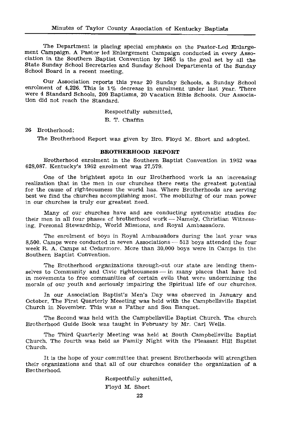The Department is placing special emphasis on the Pastor-Led Enlargement Campaign. A Pastor led Enlargement Campaign conducted in every Association in the Southern Baptist Convention by 1965 is the goal set by all the State Sunday School Secretaries and Sunday School Departments of the Sunday School Board in a recent meeting.

Our Association reports this year 20 Sunday Schools, a Sunday School enrolment of 4,226. This is 1% decrease in enrolment under last year. There were 4 Standard Schools, 209 Baptisms, 20 Vacation Bible Schools, Our Association did not reach the Standard.

Respectfully submitted,

B. T. Chaffin

26 Brotherhood:

The Brotherhood Report was given by Bro. Floyd M. Short and adopted.

### **BROTHERHOOD REPORT**

Brotherhood enrolment in the Southern Baptist Convention in 1962 was 628.087. Kentucky's 1962 enrolment was 27,579.

One of the brightest spots in our Brotherhood work is an increasing realization that in the men in our churches there rests the greatest notential for the cause of righteousness the world has. Where Brotherhoods are serving best we find the churches accomplishing most. The mobilizing of our man power in our churches is truly our greatest need.

Many of our churches have and are conducting systematic studies for their men in all four phases of brotherhood work - Namely, Christian Witnessing, Personal Stewardship, World Missions, and Royal Ambassadors.

The enrolment of boys in Royal Ambassadors during the last year was 8,500. Camps were conducted in seven Associations – 513 boys attended the four week R. A. Camps at Cedarmore. More than 30,000 boys were in Camps in the Southern Baptist Convention.

The Brotherhood organizations through-out our state are lending themselves to Community and Civic righteousness - in many places that have led in movements to free communities of certain evils that were undermining the morals of our youth and seriously impairing the Spiritual life of our churches.

In our Association Baptist's Men's Day was observed in January and October, The First Quarterly Meeeting was held with the Campbellsville Baptist Church in November. This was a Father and Son Banquet.

The Second was held with the Campbellsville Baptist Church. The church Brotherhood Guide Book was taught in February by Mr. Carl Wells.

The Third Quarterly Meeting was held at South Campbellsville Baptist Church, The fourth was held as Family Night with the Pleasant Hill Baptist Church.

It is the hope of your committee that present Brotherhoods will strengthen their organizations and that all of our churches consider the organization of a Brotherhood.

> Respectfully submitted, Floyd M. Short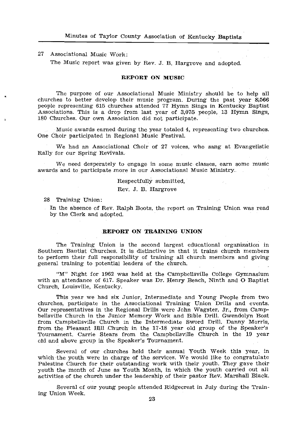### 27 Associational Music Work:

The Music report was given by Rev. J. B. Hargrove and adopted.

### **REPORT ON MUSIC**

The purpose of our Associational Music Ministry should be to help all churches to better develop their music program. During the past year 8,566 people representing 615 churches attended 77 Hymn Sings in Kentucky Baptist Associations. This is a drop from last year of 3,075 people, 13 Hymn Sings, 180 Churches. Our own Association did not participate.

Music awards earned during the year totaled 4, representing two churches. One Choir participated in Regional Music Festival.

We had an Associational Choir of 27 voices, who sang at Evangelistic Rally for our Spring Revivals.

We need desperately to engage in some music classes, earn some music awards and to participate more in our Associational Music Ministry.

### Respectfully submitted,

Rev. J. B. Hargrove

28 Training Union:

In the absence of Rev. Ralph Boots, the report on Training Union was read by the Clerk and adopted.

### REPORT ON TRAINING UNION

The Training Union is the second largest educational organization in Southern Baptist Churches. It is distinctive in that it trains church members to perform their full responsibility of training all church members and giving general training to potential leaders of the church.

"M" Night for 1962 was held at the Campbellsville College Gymnasium with an attendance of 617. Speaker was Dr. Henry Beach, Ninth and O Baptist Church, Louisville, Kentucky,

This year we had six Junior, Intermediate and Young People from two churches, participate in the Associational Training Union Drills and events. Our representatives in the Regional Drills were John Wagster, Jr., from Campbellsville Church in the Junior Memory Work and Bible Drill. Gwendolyn Bost from Campbellsville Church in the Intermediate Sword Drill, Danny Morris, from the Pleasant Hill Church in the 17-18 year old group of the Speaker's Tournament, Carrie Stears from the Campbellsville Church in the 19 year old and above group in the Speaker's Tournament.

Several of our churches held their annual Youth Week this year, in which the youth were in charge of the services. We would like to congratulate Palestine Church for their outstanding work with their youth. They gave their vouth the month of June as Youth Month, in which the youth carried out all activities of the church under the leadership of their pastor Rev. Marshall Black.

Several of our young people attended Ridgecrest in July during the Training Union Week.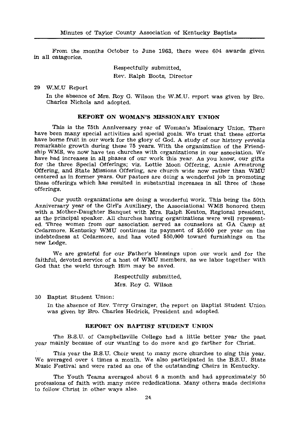From the months October to June 1963, there were 604 awards given in all catagories.

> Respectfully submitted. Rev. Ralph Boots, Director

29 W.M.U Report

In the absence of Mrs. Roy G. Wilson the W.M.U. report was given by Bro. Charles Nichols and adopted.

### REPORT ON WOMAN'S MISSIONARY UNION

This is the 75th Anniversary year of Woman's Missionary Union. There have been many special activities and special goals. We trust that these efforts have borne fruit in our work for the glory of God. A study of our history reveals remarkable growth during these 75 years. With the organization of the Friendship WMS, we now have ten churches with organizations in our association. We have had increases in all phases of our work this year. As you know, our gifts for the three Special Offerings; viz. Lottie Moon Offering, Annie Armstrong Offering, and State Missions Offering, are church wide now rather than WMU centered as in former years. Our pastors are doing a wonderful job in promoting these offerings which has resulted in substantial increases in all three of these offerings.

Our youth organizations are doing a wonderful work. This being the 50th Anniversary year of the Girl's Auxiliary, the Associational WMS honored them with a Mother-Daughter Banquet with Mrs. Ralph Keaton, Regional president. as the principal speaker. All churches having organizations were well represented. Three women from our association served as counselors at GA Camp at Cedarmore, Kentucky WMU continues its payment of \$5,000 per vear on the indebtedness at Cedarmore, and has voted \$50,000 toward furnishings on the new Lodge.

We are grateful for our Father's blessings upon our work and for the faithful, devoted service of a host of WMU members, as we labor together with God that the world through Him may be saved.

> Respectfully submitted, Mrs. Roy G. Wilson

30 Baptist Student Union:

In the absence of Rev. Terry Grainger, the report on Baptist Student Union was given by Bro. Charles Hedrick, President and adopted.

### REPORT ON BAPTIST STUDENT UNION

The B.S.U. of Campbellsville College had a little better year the past year mainly because of our wanting to do more and go farther for Christ.

This year the B.S.U. Choir went to many more churches to sing this year. We averaged over 4 times a month. We also participated in the B.S.U. State Music Festival and were rated as one of the outstanding Choirs in Kentucky.

The Youth Teams averaged about 6 a month and had approximately 50 professions of faith with many more rededications. Many others made decisions to follow Christ in other ways also.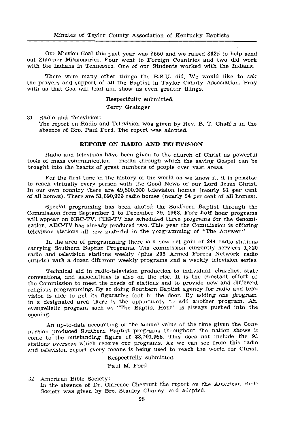Our Mission Goal this past year was \$550 and we raised \$625 to help send out Summer Missionaries. Four went to Foreign Countries and two did work with the Indians in Tennessee. One of our Students worked with the Indians.

There were many other things the B.S.U. did. We would like to ask the prayers and support of all the Baptist in Taylor County Association. Pray with us that God will lead and show us even greater things.

> Respectfully submitted. Terry Grainger

31 Radio and Television:

The report on Radio and Television was given by Rev. B. T. Chaffin in the absence of Bro. Paul Ford. The report was adopted.

### REPORT ON RADIO AND TELEVISION

Radio and television have been given to the church of Christ as powerful tools of mass communication -- media through which the saving Gospel can be brought into the hearts of great numbers of people over vast areas.

For the first time in the history of the world as we know it, it is possible to reach virtually every person with the Good News of our Lord Jesus Christ. In our own country there are 49,800,000 television homes (nearly 91 per cent of all homes). There are 51,690,000 radio homes (nearly 94 per cent of all homes).

Special programing has been alloted the Southern Baptist through the Commission from September 1 to December 29, 1963. Four half hour programs will appear on NBC-TV. CBS-TV has scheduled three programs for the denomination. ABC-TV has already produced two. This year the Commission is offering television stations all new material in the programming of "The Answer."

In the area of programming there is a new net gain of 244 radio stations carrying Southern Baptist Programs. The commission currently services 1,220 radio and television stations weekly (plus 205 Armed Forces Network radio outlets) with a dozen different weekly programs and a weekly television series.

Technical aid in radio-television production to individual, churches, state conventions, and associations is also on the rise. It is the constant effort of the Commission to meet the needs of stations and to provide new and different religious programming. By so doing Southern Baptist agency for radio and television is able to get its figurative foot in the door. By adding one program in a designated area there is the opportunity to add another program. Ah evangelistic program such as "The Baptist Hour" is always pushed into the opening.

An up-to-date accounting of the annual value of the time given the Commission produced Southern Baptist programs throughout the nation shows it come to the outstanding figure of \$3,701,988. This does not include the 93 stations overseas which receive our programs. As we can see from this radio and television report every means is being used to reach the world for Christ.

Respectfully submitted,

Paul M. Ford

32 American Bible Society: In the absence of Dr. Clarence Chesnutt the report on the American Bible Society was given by Bro. Stanley Chaney, and adopted.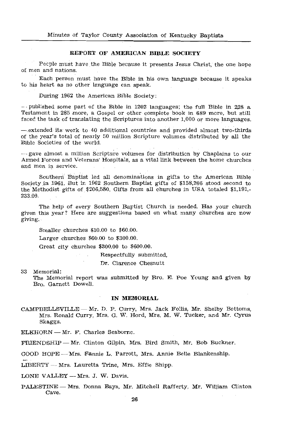### REPORT OF AMERICAN BIBLE SOCIETY

Pecple must have the Bible because it presents Jesus Christ, the one hope of men and nations.

Each person must have the Bible in his own language because it speaks to his heart as no other language can speak.

During 1962 the American Bible Society:

-- published some part of the Bible in 1202 languages; the full Bible in 228 a Testament in 285 more, a Gospel or other complete book in 689 more, but still faced the task of translating the Scriptures into another 1.000 or more languages.

- extended its work to 40 additional countries and provided almost two-thirds of the year's total of nearly 50 million Scripture volumes distributed by all the Bible Societies of the world.

 $-$  gave almost a million Scripture volumes for distribution by Chaplains to our Armed Forces and Veterans' Hospitals, as a vital link between the home churches and men in service.

Southern Baptist led all denominations in gifts to the American Bible Society in 1961. But in 1962 Southern Baptist gifts of \$158,206 stood second to the Methodist gifts of \$206,580. Gifts from all churches in USA totaled \$1,191,-233.00.

The help of every Southern Baptist Church is needed. Has your church given this year? Here are suggestions based on what many churches are now giving.

Smaller churches \$10.00 to \$60.00.

Larger churches  $$60.00$  to  $$300.00$ .

Great city churches \$300.00 to \$600.00.

Respectfully submitted.

Dr. Clarence Chesnutt

33 Memorial:

The Memorial report was submitted by Bro. E. Poe Young and given by Bro. Garnett Dowell.

### IN MEMORIAL

CAMPBELLSVILLE — Mr. D. P. Curry, Mrs. Jack Follis, Mr. Shelby Bottoms. Mrs. Ronald Curry, Mrs. G. W. Hord, Mrs. M. W. Tucker, and Mr. Cyrus Skaggs.

ELKHORN - Mr. F. Charles Seaborne.

FRIENDSHIP - Mr. Clinton Gilpin, Mrs. Bird Smith, Mr. Bob Buckner.

GOOD HOPE - Mrs. Fannie L. Parrott, Mrs. Annie Belle Blankenship.

LIBERTY - Mrs. Lauretta Trine, Mrs. Effie Shipp.

LONE VALLEY - Mrs. J. W. Davis.

PALESTINE - Mrs. Donna Bays, Mr. Mitchell Rafferty, Mr. William Clinton Cave.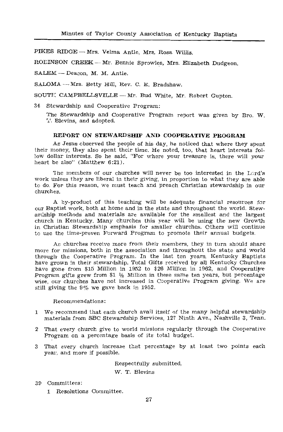PIKES RIDGE - Mrs. Velma Antie, Mrs. Rosa Willis.

ROEINSON CREEK - Mr. Bennie Sprowles, Mrs. Elizabeth Dudgeon.

SALEM -- Deacon, M. M. Antle.

SALOMA - Mrs. Betty Hill, Rev. C. E. Bradshaw.

SOUTE CAMPBELLSVILLE - Mr. Bud White, Mr. Robert Gupton.

34 Stewardship and Cooperative Program:

The Stewardship and Cooperative Program report was given by Bro. W. <sup>1</sup>. Blevins, and adopted.

### REPORT ON STEWARDSHIP AND COOPERATIVE PROGRAM

As Jesus observed the people of his day, he noticed that where they spent their money, they also spent their time. He noted, too, that heart interests follow dollar interests. So he said, "For where your treasure is, there will your heart be also" (Matthew 6:21).

The members of our churches will never be too interested in the Lord's work unless they are liberal in their giving, in proportion to what they are able to do. For this reason, we must teach and preach Christian stewardship in our churches.

A by-product of this teaching will be adequate financial resources for our Baptist work, both at home and in the state and throughout the world. Stewardship methods and materials are available for the smallest and the largest church in Kentucky. Many churches this year will be using the new Growth in Christian Stewardship emphasis for smaller churches. Others will continue to use the time-proven Forward Program to promote their annual budgets.

As churches receive more from their members, they in turn should share more for missions, both in the association and throughout the state and world through the Cooperative Program. In the last ten years, Kentucky Baptists<br>have grown in their stewardship. Total Gifts received by all Kentucky Churches have gone from \$15 Million in 1952 to \$26 Million in 1962, and Cooperative Program gifts grew from \$1 1/2 Million in these same ten years, but percentage wise, our churches have not increased in Cooperative Program giving. We are still giving the 9% we gave back in 1952.

Recommendations:

- 1 We recommend that each church avail itself of the many helpful stewardship materials from SBC Stewardship Services, 127 Ninth Ave., Nashville 3, Tenn.
- 2 That every church give to world missions regularly through the Cooperative Program on a percentage basis of its total budget.
- 3 That every church increase that percentage by at least two points each year, and more if possible.

Respectfully submitted, W. T. Blevins

### 39 Committees:

1 Resolutions Committee.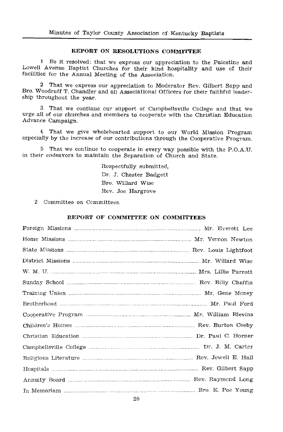### REPORT ON RESOLUTIONS COMMITTEE

1 Be it resolved: that we express our appreciation to the Palestine and Lowell Avenue Baptist Churches for their kind hospitality and use of their facilities for the Annual Meeting of the Association.

 $\overline{2}$ That we express our appreciation to Moderator Rev. Gilbert Sapp and Bro. Woodruff T. Chandler and all Associational Officers for their faithful leadership throughout the year.

3 That we continue our support of Campbellsville College and that we urge all of our churches and members to cooperate with the Christian Education Advance Campaign.

4 That we give wholehearted support to our World Mission Program especially by the increase of our contributions through the Cooperative Program.

That we continue to cooperate in every way possible with the P.O.A.U. in their endeavors to maintain the Separation of Church and State.

> Respectfully submitted, Dr. J. Chester Badgett Bro. Willard Wise Rev. Joe Hargrove

2 Committee on Committees.

### REPORT OF COMMITTEE ON COMMITTEES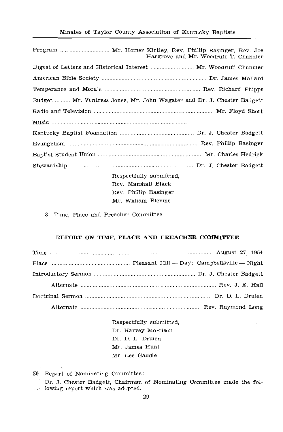| Hargrove and Mr. Woodruff T. Chandler                                   |
|-------------------------------------------------------------------------|
| Digest of Letters and Historical Interest  Mr. Woodruff Chandler        |
|                                                                         |
|                                                                         |
| Budget  Mr. Vontress Jones, Mr. John Wagster and Dr. J. Chester Badgett |
|                                                                         |
|                                                                         |
|                                                                         |
|                                                                         |
|                                                                         |
|                                                                         |

Respectfully submitted, Rev. Marshall Black Rev. Phillip Basinger Mr. William Blevins

3 Time, Place and Preacher Committee.

### REPORT ON TIME, PLACE AND PREACHER COMMITTEE

Respectfully submitted, Dr. Harvey Morrison Dr. D. L. Druien Mr. James Hunt Mr. Lee Gaddie

36 Report of Nominating Committee:

Dr. J. Chester Badgett, Chairman of Nominating Committee made the following report which was adopted.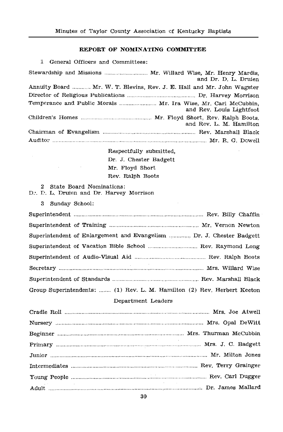### REPORT OF NOMINATING COMMITTEE

1 General Officers and Committees:

| Stewardship and Missions  Mr. Willard Wise, Mr. Henry Mardis.<br>and Dr. D. L. Druien      |
|--------------------------------------------------------------------------------------------|
| Annuity Board  Mr. W. T. Blevins, Rev. J. E. Hall and Mr. John Wagster                     |
|                                                                                            |
| Temperance and Public Morals  Mr. Ira Wise, Mr. Carl McCubbin,<br>and Rev. Louis Lightfoot |
| and Rev. L. M. Hamilton                                                                    |
|                                                                                            |
|                                                                                            |

Respectfully submitted, Dr. J. Chester Badgett Mr. Floyd Short Rev. Ralph Boots

### 2 State Board Nominations:

- D., D. L. Druien and Dr. Harvey Morrison
	- 3 Sunday School:

|                    | Superintendent of Enlargement and Evangelism  Dr. J. Chester Badgett    |  |
|--------------------|-------------------------------------------------------------------------|--|
|                    |                                                                         |  |
|                    |                                                                         |  |
|                    |                                                                         |  |
|                    |                                                                         |  |
|                    | Group Superintendents:  (1) Rev. L. M. Hamilton (2) Rev. Herbert Keeton |  |
| Department Leaders |                                                                         |  |

| the contract of the contract of the contract of the contract of the contract of |
|---------------------------------------------------------------------------------|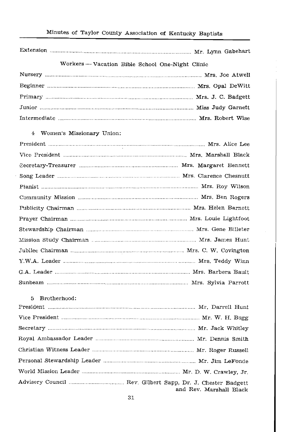# Minutes of Taylor County Association of Kentucky Baptists

| Workers - Vacation Bible School One-Night Clinic |
|--------------------------------------------------|
|                                                  |
|                                                  |
|                                                  |
|                                                  |
|                                                  |
| 4<br>Women's Missionary Union:                   |
|                                                  |
|                                                  |
|                                                  |
|                                                  |
|                                                  |
|                                                  |
|                                                  |
|                                                  |
|                                                  |
|                                                  |
|                                                  |
|                                                  |
|                                                  |
|                                                  |
|                                                  |
| Brotherhood:<br>5                                |
|                                                  |
|                                                  |
|                                                  |
|                                                  |
|                                                  |

and Rev. Marshall Black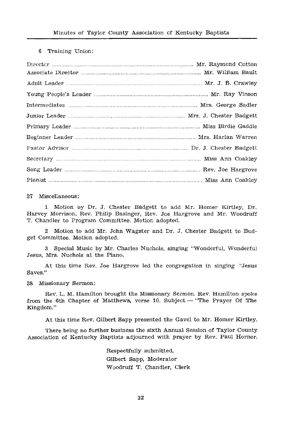### 6 Training Union:

#### 37 Miscellaneous:

1 Motion by Dr. J. Chester Badgett to add Mr. Homer Kirtley, Dr. Harvey Morrison, Rev. Philip Basinger, Rev. Joe Hargrove and Mr. Woodruff T. Chandler to Program Committee. Motion adopted.

2 Motion to add Mr. John Wagster and Dr. J. Chester Badgett to Budget Committee. Motion adopted.

3 Special Music by Mr. Charles Nuchols, singing "Wonderful, Wonderful Jesus, Mrs. Nuchols at the Piano.

At this time Rev. Joe Hargrove led the congregation in singing "Jesus Saves."

### 38 Missionary Sermon:

Rev. L. M. Hamilton brought the Missionary Sermon. Rev. Hamilton spoke from the 6th Chapter of Matthews, verse 10. Subject - "The Prayer Of The Kingdom."

At this time Rev. Gilbert Sapp presented the Gavel to Mr. Homer Kirtley.

There being no further business the sixth Annual Session of Taylor County Association of Kentucky Baptists adjourned with prayer by Rev. Paul Horner.

> Respectfully submitted, Gilbert Sapp, Moderator Woodruff T. Chandler, Clerk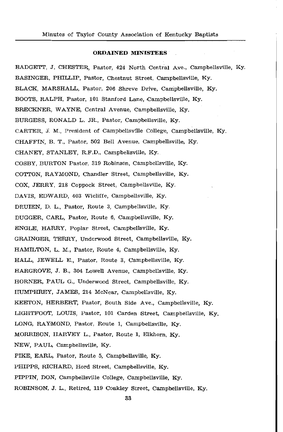### **ORDAINED MINISTERS**

BADGETT, J. CHESTER, Pastor, 424 North Central Ave., Campbellsville, Ky. BASINGER, PHILLIP, Pastor, Chestnut Street, Campbellsville, Ky. BLACK, MARSHALL, Pastor, 206 Shreve Drive, Campbellsville, Ky. BOOTS, RALPH, Pastor, 101 Stanford Lane, Campbellsville, Ky. BRECKNER, WAYNE, Central Avenue, Campbellsville, Ky. BURGESS, RONALD L. JR., Pastor, Campbellsville, Ky. CARTER. J. M., President of Campbellsville College, Campbellsville, Ky. CHAFFIN. B. T., Pastor, 502 Bell Avenue, Campbellsville, Ky. CHANEY, STANLEY, R.F.D., Campbellsville, Ky. COSBY, BURTON Pastor, 319 Robinson, Campbellsville, Ky. COTTON, RAYMOND, Chandler Street, Campbellsville, Kv. COX. JERRY. 218 Coppock Street. Campbellsville. Ky. DAVIS, EDWARD, 403 Wicliffe, Campbellsville, Ky. DRUIEN, D. L., Pastor, Route 3, Campbellsville, Ky. DUGGER, CARL, Pastor, Route 6, Campbellsville, Ky. ENGLE, HARRY, Poplar Street, Campbellsville, Ky. GRAINGER, TERRY, Underwood Street, Campbellsville, Ky. HAMILTON, L. M., Pastor, Route 4, Campbellsville, Ky. HALL, JEWELL E., Pastor, Route 3, Campbellsville, Ky. HARGROVE, J. B., 304 Lowell Avenue, Campbellsville, Ky. HORNER, PAUL G., Underwood Street, Campbellsville, Ky. HUMPHREY, JAMES, 214 McNear, Campbellsville, Ky. KEETON, HERBERT, Pastor, South Side Ave., Campbellsville, Ky. LIGHTFOOT, LOUIS, Pastor, 101 Carden Street, Campbellsville, Ky. LONG, RAYMOND, Pastor, Route 1, Campbellsville, Ky. MORRISON, HARVEY L., Pastor, Route 1, Elkhorn, Kv. NEW, PAUL, Campbellsville, Ky. PIKE, EARL, Pastor, Route 5, Campbellsville, Kv. PHIPPS, RICHARD, Hord Street, Campbellsville, Ky. PIPPIN, DON, Campbellsville College, Campbellsville, Ky. ROBINSON, J. L., Retired, 119 Coakley Street, Campbellsville, Ky.

33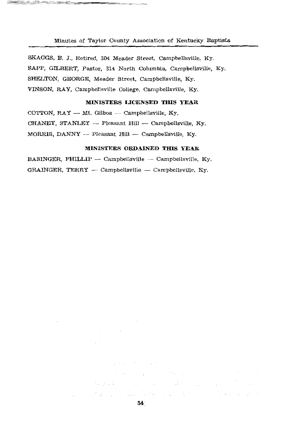Minutes of Taylor County Association of Kentucky Baptists

SKAGGS, B. J., Retired, 304 Meader Street, Campbellsville, Ky. SAPP, GILBERT, Pastor, 314 North Columbia, Campbellsville, Ky. SHELTON, GEORGE, Meader Street, Campbellsville, Ky. VINSON, RAY, Campbellsville College, Campbellsville, Ky.

### MINISTERS LICENSED THIS YEAR

COTTON,  $RAY$  - Mt. Gilboa - Campbellsville, Ky. CHANEY, STANLEY -- Pleasant Hill -- Campbellsville, Ky. MORRIS, DANNY -- Pleasant Hill -- Campbellsville, Ky.

### MINISTERS ORDAINED THIS YEAR

BASINGER, PHILLIP -- Campbellsville -- Campbellsville. Kv. GRAINGER, TERRY  $-$  Campbellsville  $-$  Campbellsville, Ky.

 $\sim$ 

graduate state of products

Sales Province

34

 $\mathcal{L}_{\text{max}}$  and  $\mathcal{L}_{\text{max}}$  and  $\mathcal{L}_{\text{max}}$  are the set of the set of  $\mathcal{L}_{\text{max}}$ 

 $\mathcal{U}_{\mathcal{A}}(g,\mathcal{A})=\mathcal{U}_{\mathcal{A}}(g,\mathcal{A})=\mathcal{U}_{\mathcal{A}}(g,\mathcal{A})=\mathcal{U}_{\mathcal{A}}(g,\mathcal{A})=\mathcal{U}_{\mathcal{A}}(g,\mathcal{A})=\mathcal{U}_{\mathcal{A}}(g,\mathcal{A})$ 

 $\mathcal{L}(\mathcal{L}) = \mathcal{L}(\mathcal{L})$  .

and a state of the

 $\mathcal{L}^{\text{max}}$ 

 $2.11$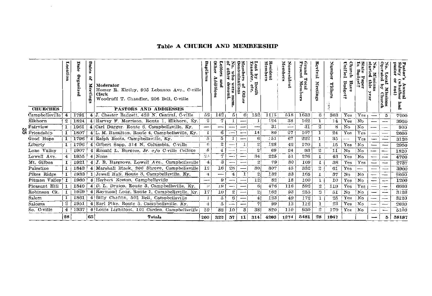# Table A CHURCH AND MEMBERSHIP

| <b>CHURCHES</b> | Location         |      | Dates<br>ዴ<br>×<br>iing | Moderator<br>Homer R. Kirtley, 905 Lebanon Ave., C-ville<br>Clerk<br>Woodruff T. Chandler, 206 Bell, C-ville<br><b>PASTORS AND ADDRESSES</b> | Raptis           | ner<br>tter<br>Lddittio | other<br>۳<br>denomi.    | omin<br>hers<br>E<br>۰<br>E<br>Oth | e.<br>by<br>fer,<br>$\frac{\text{Data}}{\text{etc.}}$ | Resident<br>Members | Members<br>onresident    | უი<br>рита<br>Total<br>t Membors | Revival<br>Meet<br>È<br>꼈  | Number<br>Tithers | Unified<br>Jhure<br>Budge<br>Hav<br>ż | 5<br>png<br>$rac{1}{2}$ | ۰<br>Мis<br>sion<br>this<br>3 | ٥<br>aten<br>roor<br>Missions<br>v Church | pastor<br>Annual<br>whether |
|-----------------|------------------|------|-------------------------|----------------------------------------------------------------------------------------------------------------------------------------------|------------------|-------------------------|--------------------------|------------------------------------|-------------------------------------------------------|---------------------|--------------------------|----------------------------------|----------------------------|-------------------|---------------------------------------|-------------------------|-------------------------------|-------------------------------------------|-----------------------------|
| Campbellsville  | 4                | 1791 |                         | 4 J. Chester Badgett, 420 N. Central, C-ville                                                                                                | 52               | 1421                    | 51                       | 61                                 | 152                                                   | 1115                | 518                      | 1633                             | 6                          | 363               | Yes                                   | Yes                     | $\overline{\phantom{0}}$      | 5                                         | 7200                        |
| Elkhorn         | $\mathbf{2}$     | 1824 |                         | 4 Harvey F. Morrison, Route 1, Elkhorn, Ky.                                                                                                  | $\boldsymbol{2}$ | 7                       |                          |                                    |                                                       | 124                 | 38                       | 162                              | 1                          | 14                | Yes                                   | No                      | -                             | $-$                                       | 3920                        |
| Fairview        | 1                | 1961 |                         | 4 Carl Dugger. Route 6. Campbellsville. Ky.                                                                                                  | -                | -                       | $--$                     |                                    |                                                       | 31                  | $\overline{\phantom{0}}$ | 31                               | 2                          | 8                 | N <sub>O</sub>                        | N <sub>0</sub>          | ---                           | --                                        | 900                         |
| Friendship      | 1                | 1807 |                         | 4 L. M. Hamilton, Route 4, Campbellsville, Ky.                                                                                               |                  | 6                       | $\overline{\phantom{0}}$ | $\overline{\phantom{0}}$           | 14                                                    | 80                  | 27                       | 107                              | 1                          | 24                | Yes                                   | Yes                     |                               | $-\!$                                     | 2600                        |
| Good Hope       | 1                | 1796 |                         | 4 Ralph Boots, Campbellsville, Ky.                                                                                                           | $\mathbf{5}$     | 5                       |                          | $\overline{\phantom{a}}$           | $\boldsymbol{\kappa}$                                 | 151                 | 67                       | 222                              | 1                          | 35                | -                                     | Yes                     | ļ                             | $\overline{\phantom{a}}$                  | 3120                        |
| Liberty         | 1                | 1796 |                         | 4 Gilbert Sapp, 314 N. Columbia, C-ville                                                                                                     | 6                | 2                       |                          |                                    | $\boldsymbol{z}$                                      | 128                 | 42                       | 170                              | 1                          | 15                | $Y_{es}$                              | $N\alpha$               |                               |                                           | 2950                        |
| Lone Valley     | $\mathbf{1}$     | 1907 |                         | $4 \times 4$ Ronald L. Burgess, Jr. c/o C-ville College                                                                                      | 8                | $\bf{4}$                | $\overline{\phantom{a}}$ |                                    | $\boldsymbol{2}$                                      | 69                  | $^{24}$                  | 93                               | $\boldsymbol{\mathcal{Z}}$ | 11                | No                                    | No                      | --                            |                                           | 1820                        |
| Lowell Ave.     | $\overline{4}$   | 1955 |                         | $4 $ None                                                                                                                                    | 2.5              | 7                       | — <b>.</b>               | <b>.</b>                           | 34                                                    | 225                 | 51                       | 276                              |                            | 43                | Yes                                   | No                      | $\overline{\phantom{0}}$      | $\overline{\phantom{a}}$                  | 4700                        |
| Mt. Gilboa      | $\mathbf{1}$     | 1921 |                         | $4 J.$ B. Hargrove, Lowell Ave., Campbellsville                                                                                              | $\overline{4}$   | 3                       |                          |                                    | $\mathbf{2}$                                          | 79.                 | 30                       | 109                              | 1                          | 38                | Yes                                   | Yes                     | j                             | $\overline{\phantom{m}}$                  | 2737                        |
| Palestine       | 1                | 1843 |                         | 4 Marshall Black, 206 Shreve, Campbellsville                                                                                                 | 12               | 16                      | 28                       |                                    | 30                                                    | 307                 | 45                       | 352                              | 2                          | 61                | Yes                                   |                         | -                             |                                           | 3900                        |
| Pikes Ridge     | 1.               | 1933 |                         | 1 Jewell Hall, Route 3, Campbellsville, Ky.                                                                                                  | 4                | -                       | 4                        |                                    | 2                                                     | 132                 | 33                       | 165                              |                            | 37                | N <sub>O</sub>                        | N <sub>0</sub>          | --                            | $\overline{\phantom{0}}$                  | 2600                        |
| Pitman Valley   | 1                | 1960 |                         | 4 Herbert Keeton, Campbellsville                                                                                                             | -                | 9                       | -                        |                                    | 12                                                    | 82                  | 18                       | 100                              |                            | 10                | Yes                                   | No.                     | -                             |                                           | 1200                        |
| Pleasant Hill   |                  | 1840 |                         | 4 D. L. Druien, Route 3, Campbellsville, Ky.                                                                                                 | $\ddot{\cdot}$   | 18                      | — <b>.</b>               |                                    | В                                                     | 476                 | 116                      | 592                              | $\boldsymbol{z}$           | 119               | Yes                                   | Yes                     | —                             | $\overline{\phantom{0}}$                  | 6600                        |
| Robinson Ck.    |                  | 1929 |                         | 4 Raymond Long, Route 1, Campbellsville, Ky.                                                                                                 | 17               | 10                      | 2                        |                                    | $\mathbf{z}$                                          | 162                 | 93                       | 255                              | $\boldsymbol{2}$           | 51                | No                                    | No                      | --                            | --                                        | 3120                        |
| Salem           |                  | 1861 |                         | 4 Billy Chaffin, 502 Bell, Campbellsville                                                                                                    |                  | 5                       | в                        |                                    | $\overline{\mathbf{f}}$                               | 123                 | 49                       | 172                              |                            | 25                | Yes                                   | N <sub>0</sub>          | ---                           | $\overline{\phantom{0}}$                  | 3120                        |
| Saloma          | $\boldsymbol{2}$ | 1951 |                         | 4 Earl Pike, Route 5, Campbellsville, Ky.                                                                                                    | 4                | 5                       | $\overline{\phantom{a}}$ |                                    | 7                                                     | 99                  | 13                       | 112                              | 1                          | 23                | Yes                                   | No                      | -                             |                                           | 2600                        |
| So. C-ville     | $\overline{4}$   | 1937 |                         | 4 Louis Lightfoot, 101 Carden, Campbellsville                                                                                                | 59               | 82                      | 10                       | 3                                  | 38                                                    | 820                 | 110                      | 930                              | $\mathbf{2}$               | 170               | $_{\rm Yes}$                          | No                      | --                            |                                           | 5100                        |
|                 | 28               |      | 65                      | Totals                                                                                                                                       | 209              | 322                     | 57 I                     | 11                                 | 314                                                   | 4203                | 1274                     | 5481                             | 28                         | 1047              |                                       |                         |                               | 5                                         | 58187                       |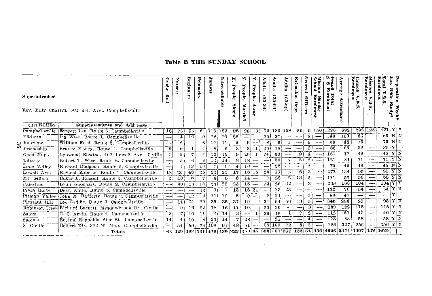# Table B THE SUNDAY SCHOOL

| Superintendent<br>Rev. Billy Chaffin, 502 Bell Ave., Campbellsville<br><b>CHURCHES</b><br><b>Superintendents and Addresses</b> |                |                                                          |                          | <b>UTSET</b>   | Beginners | Primaries      | Junio           | Intermediates | People<br>Single | ×.<br>People,<br>Married | ю<br>People,<br><b>ARANY</b> | Adults<br>$(25-34)$ | <b>Adults</b><br>$(35-64)$ | <b>Adults</b><br>$(65 - np)$ | Extension<br><b>Dept</b> | General<br><b>Officers</b> | School<br>fission<br>Enrolment<br>Sunday | ගෙල<br>တဦး<br>⊌≛<br>Total<br>0<br>men | ä<br>۰<br>⋗<br>tten<br>Ë.<br>$\bullet$ | Enrolment<br>Church<br>v.B.8                                                     | Mission<br>Enrolment<br>≺<br>B.S | Enrol<br>Fotal<br>ь<br>òc | ian.<br>Preparation<br>Bible<br>Study<br>Week<br>Undy? |  |
|--------------------------------------------------------------------------------------------------------------------------------|----------------|----------------------------------------------------------|--------------------------|----------------|-----------|----------------|-----------------|---------------|------------------|--------------------------|------------------------------|---------------------|----------------------------|------------------------------|--------------------------|----------------------------|------------------------------------------|---------------------------------------|----------------------------------------|----------------------------------------------------------------------------------|----------------------------------|---------------------------|--------------------------------------------------------|--|
|                                                                                                                                | Campbellsville | Everett Lee, Route 5, Campbellsville                     | 16                       | 731            | 55        |                | $81$   115      | 123           | 98               | 28                       | з                            | 79                  | 180 158                    |                              | 561                      |                            |                                          | 5115611226                            | 692                                    |                                                                                  | 293 128                          | 421                       | YY                                                     |  |
|                                                                                                                                | Elkhorn        | Ira Wise. Route 1. Campbellsville                        |                          | 4              | 12        | 9              | 12              | 10            | 22               | $-$                      | -                            | 25                  | 37                         | $\overline{\phantom{a}}$     | $\sim$                   | з                          |                                          | 143                                   | 109                                    | 65                                                                               |                                  | $65$ N N                  |                                                        |  |
|                                                                                                                                | co Fairview    | William Fo d, Route 2, Campbellsville                    | ---                      | 6 I            |           | 6              | 17              | 11            | 2                |                          | $6 -$                        | 8                   | 9                          | ı                            |                          | $\overline{4}$             |                                          | 66                                    | 48                                     | 75                                                                               | $\sim$                           | $75$ N N                  |                                                        |  |
| ග                                                                                                                              | Friendship     | Brune: Money, Route 4. Campbellsville                    | 6                        | 6              | 1         | $\overline{4}$ | 8               | 6             | 8                | 21                       |                              | 201                 | 18                         |                              | $\sim$                   | -6                         | --                                       | 86                                    | 66                                     | 32                                                                               |                                  | $32 \, \text{y}$          |                                                        |  |
|                                                                                                                                | Good Hope      | Lynwood Newton, 407 Lowell Ave., C-ville                 |                          | 21             | 7         |                | 10              | 15            | 9                | 20                       |                              | 241                 | 38                         | -                            | $\mathbf{a}$             | $4\phantom{1}$             |                                          | 151                                   | 77                                     | 42                                                                               |                                  | $42$ Y N                  |                                                        |  |
|                                                                                                                                | Liberty        | Robert L. Wise, Route 6, Campbellsville                  |                          | $5+$           | 6         | 81             | 12              | 14            | 8                | $18 -$                   |                              | -                   | 36                         | 7                            | 51                       | $\mathbf{2}$               | $-1$                                     | 121                                   | 84                                     | 71                                                                               |                                  | 71 Y N                    |                                                        |  |
|                                                                                                                                | Lone Valley    | Richard Dudgeon, Route 5, Campbellsville                 |                          | 1 <sub>1</sub> | 13        | 10             | 7               | $\epsilon$    | 4                | $10 -$                   |                              |                     | 22                         |                              |                          | 2                          |                                          | 75                                    | 45                                     | 49                                                                               |                                  | 49 N N                    |                                                        |  |
|                                                                                                                                | Lowell Ave.    | Elwood Roberts, Route 1, Campbellsville                  | 18                       | 35             | 48        | 25             | 32              | 22            | 17               | 16 15                    |                              | 20                  | 15                         | $\overline{\phantom{0}}$     | 6                        | 3                          |                                          | 272                                   | 134                                    | 95                                                                               |                                  | $95$ Y N                  |                                                        |  |
|                                                                                                                                | Mt. Gilboa     | Edgar B. Russell, Route 2, Campbellsville                | 5!                       | 10             | 6         | 7              | 8               | 6             |                  | $14 -$                   |                              |                     | 22                         | $\boldsymbol{2}$             | 13                       | $\boldsymbol{2}$           |                                          | 111                                   | 57                                     | 53                                                                               |                                  | 53 Y N                    |                                                        |  |
|                                                                                                                                | Palestine      | Lynn Gabehart, Route 2, Campbellsville                   | $\cdots$                 | 30             | 13        | 13             | 231             | 25            | 23               | $18 -$                   |                              | 53                  | 26                         | 42                           | --                       | 31                         |                                          | 269                                   | 163                                    | 104                                                                              |                                  | $104$ Y Y                 |                                                        |  |
|                                                                                                                                | Pikes Ridge    | Dean Antle. Route 5, Campbellsville                      | --                       |                |           | 12             | 61              | 7             | 13               |                          | 16 24                        | -                   | 23                         | 23                           |                          |                            |                                          | 123                                   | 70                                     | 54                                                                               | $\overline{\phantom{a}}$         | $54$ Y N                  |                                                        |  |
|                                                                                                                                | Pitman Valley  | John M. Rafferty, Route 2, Campbellsville                |                          |                | 1:2       | 4              | 11              | 10            | 5                | 9                        |                              | 8                   | $2 +$                      | --                           | --                       |                            |                                          | 84                                    | 47                                     | $\overline{\phantom{a}}$                                                         |                                  |                           | Y                                                      |  |
|                                                                                                                                | Pleasant Hill  | Lee Gaddie, Route 3, Campbellsville                      |                          | 111            | 24        | 29             | 35 <sub>1</sub> | -36           | 37               | $101 -$                  |                              | -34                 | 54                         | 50                           | 18                       | 5.                         |                                          | 346                                   | 286                                    | 95                                                                               |                                  | $95$ Y N                  |                                                        |  |
|                                                                                                                                |                | Robinson Creek Richard Barnett, Meadowbrook Dr., C-ville | $-$                      | 9 <sub>1</sub> | 16        | 22             | 18              | 16            | 11               | $10 -$                   |                              | 20                  | 26                         | $\sim$                       | ---                      | з                          |                                          | 189                                   | 129                                    | 115                                                                              |                                  | 115                       | $\overline{Y}$ $\overline{Y}$                          |  |
|                                                                                                                                | Salem          | G. C. Arvin. Route 4. Campbellsville                     | 3 <sup>1</sup>           | 7              | 10        | 11             | 41              | 14            | 3                |                          |                              | 36                  | 16                         |                              | 7                        | $\mathfrak{D}$             | -                                        | 115                                   | 57                                     | 40                                                                               |                                  | 40YN                      |                                                        |  |
|                                                                                                                                | Saloma.        | Reginal Reynolds, Star Rt., Campbellsville               | 14                       | 4 <sub>1</sub> | 10        | 81             | 13i             | 14            | 7                | 28                       | --                           | --                  | 21                         |                              | -                        |                            | --                                       | 123                                   | 83                                     | 58                                                                               |                                  | 58                        | $Y$ N                                                  |  |
|                                                                                                                                | S. C-ville     | Delbert Dix. 822 W. Main. Campbellsville                 | $\overline{\phantom{0}}$ | 54             | 50        |                | 78 109          | 95            | 48               | $51 -$                   |                              |                     | 56 100                     | 72                           | 8                        | 5                          |                                          | 726                                   | 327                                    | 256                                                                              |                                  | $256$ Y Y                 |                                                        |  |
|                                                                                                                                |                | Totals                                                   |                          |                |           |                |                 |               |                  |                          |                              |                     |                            |                              |                          |                            |                                          |                                       |                                        | 63 269 283 331 440 430 323 255 45 396 667 356 132 54 156 4226 2474 1497 128 1625 |                                  |                           |                                                        |  |

 $\mathcal{L}^{\mathcal{L}}(\mathcal{L}^{\mathcal{L}})$  . The set of  $\mathcal{L}^{\mathcal{L}}(\mathcal{L}^{\mathcal{L}})$ 

 $\mathcal{L}_{\text{max}}$  ,  $\mathcal{L}_{\text{max}}$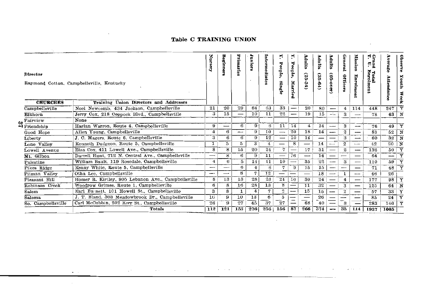# Table C TRAINING UNION

| <b>Director</b>    | Raymond Cotton, Campbellsville, Kentucky           | ă<br>Š.                  | Beginner       | Primaries | Juniors        | Intermediate   | ×.<br>People,<br>Singl,<br>ਨ | N,<br>People,<br>Married | Adults<br>$(25-34)$      | Adults<br>$\mathfrak{B}$<br>$\ddot{f}$ | Adults<br>ම්             | General<br><b>Officers</b> | Mission<br>Enrolment | ិទ្ធិ<br>្នុដ្ឋ<br>Total<br>Enrolment | Атегаде<br>Attendance    | Observe<br>Youth<br>Week |
|--------------------|----------------------------------------------------|--------------------------|----------------|-----------|----------------|----------------|------------------------------|--------------------------|--------------------------|----------------------------------------|--------------------------|----------------------------|----------------------|---------------------------------------|--------------------------|--------------------------|
| <b>CHURCHES</b>    | Training Union Directors and Addresses             |                          |                |           |                |                |                              |                          |                          |                                        |                          |                            |                      |                                       |                          |                          |
| Campbellsville     | Noel Newcomb, 434 Jackson, Campbellsville          | 21                       | 20             | 29        | 64             | 63             | 33                           | --                       | 20                       | 80                                     |                          | 4                          | 114                  | 448                                   | 247                      | Y                        |
| Elkhorn            | Jerry Cox, 218 Coppock Blvd., Campbellsville       | 3                        | 15             | —         | 10             | 11             | 22                           | --                       | 19                       | 15                                     | سند                      | з                          |                      | 78                                    | 63                       | N                        |
| $\omega$ Fairview  | None                                               |                          |                |           |                |                |                              |                          |                          |                                        |                          |                            |                      |                                       |                          |                          |
| → Friendship       | Harlan Warren, Route 4, Campbellsville             | 9                        | —              | 6         | 9              | 6              | 11                           | 14                       | $\overline{\mathbf{4}}$  | 14                                     | —                        | 3                          |                      | 76                                    | 49                       | Y                        |
| Good Hope          | Allen Young, Campbellsville                        | $\pm$                    | 6              | -         | 9              | 10             | $\overline{\phantom{0}}$     | 20                       | 18                       | 14                                     | --                       | 2                          |                      | 83                                    | 52                       | N                        |
| Liberty            | J. C. Magers. Route 6. Campbellsville              | 3                        | 6              | 6         | 9              | 12             | $\overline{\phantom{0}}$     | 10                       | 14                       |                                        | —                        | 3                          |                      | 60                                    | 32                       | N                        |
| Lone Valley        | Kenneth Dudgeon, Route 5, Campbellsville           | 1                        | 5              | 5         | 3              | $\overline{4}$ | $\overline{\phantom{0}}$     | 8                        | $\overline{\phantom{0}}$ | 14                                     |                          | $\boldsymbol{2}$           | $-$                  | 42                                    | 20                       | N                        |
| Lowell Avenue      | Elza Cox, 411 Lowell Ave., Campbellsville          | 8                        | 8              | 15        | 20             | 24             | $\overline{7}$               |                          | 17                       | 31                                     |                          | 2                          |                      | 132                                   | 50                       | $\overline{\mathbf{Y}}$  |
| Mt. Gilboa         | Darrell Hunt, 712 N. Central Ave., Campbellsville  | $\overline{\phantom{0}}$ | 8              | 6         | 9              | 11             | —                            | 16                       | —                        | 14                                     | $\overline{\phantom{0}}$ | -                          |                      | 64                                    | $\overline{\phantom{0}}$ | Y                        |
| Palestine          | William Bault, 119 Rosedale, Campbellsville        | 4                        | 6              | 5         | 14             | 11             | 10                           | —                        | 35                       | 22                                     | —                        | 3                          |                      | 110                                   | 59                       | Ÿ                        |
| Pikes Ridge        | Kenny White, Route 5, Campbellsville               | ---                      | —              | 6         | $\bf{4}$       | 6              | 7                            | 9                        | 15                       | 15                                     | —                        | --                         |                      | 71                                    | 48                       | Y                        |
| Pitman Valley      | Otha Lee, Campbellsville                           | -                        | —              | 8         | 7              | 12             |                              |                          | $\overline{\phantom{0}}$ | 18                                     | -                        | 1                          |                      | 46                                    | 26                       |                          |
| Pleasant Hill      | Homer R. Kirtley, 905 Lebanon Ave., Campbellsville | 8                        | 13             | 13        | 28             | 23             | 24                           | 10                       | 30                       | 24                                     | —                        | 4                          | -                    | 177                                   | 98                       | $\overline{\mathtt{Y}}$  |
| Robinson Creek     | Woodrow Grimes, Route 1, Campbellsville            | 6                        | 8              | 16        | 28             | 13             | $\overline{\mathbf{8}}$      | —                        | 11                       | 32                                     | $\overline{\phantom{0}}$ | 3                          |                      | 125                                   | 64                       | N                        |
| Salem              | Earl Ba nett, 101 Howell St., Campbellsville       | 3                        | 8              | 1         | $\overline{4}$ | 7              | $\boldsymbol{z}$             | ----                     | 15                       | 15                                     | --                       | $\boldsymbol{2}$           |                      | 57                                    | 33                       | Y                        |
| Saloma             | J. T. Bland. 303 Meadowbrook Dr., Campbellsville   | 16                       | 9              | 10        | 13             | 6              | 5                            |                          |                          | 26                                     |                          | ---                        |                      | 85                                    | 24                       | Y                        |
| So. Campbellsville | Carl McCubbin, 202 Kerr St., Campbellsville        | 26                       | $\overline{9}$ | 27        | 45             | 37             | 27                           | ---                      | 68                       | 40                                     | —                        | З                          |                      | 283                                   | 140                      | $\overline{\mathbf{Y}}$  |
|                    | Totals                                             | 112                      | 121            | 153       | 276            | 256            | 156                          | 87                       | 266                      | 374                                    | -                        | 35                         | 114                  | 1937                                  | 1005                     |                          |

والمتعقب والمتواصل والمتعاقب والمعاقب والمتحرم والمتعاقب المتعاقبات والمتعاقب والمتعاقب والمتحال والمتعاقبات

 $\tilde{\phantom{a}}$ 

**Contractor**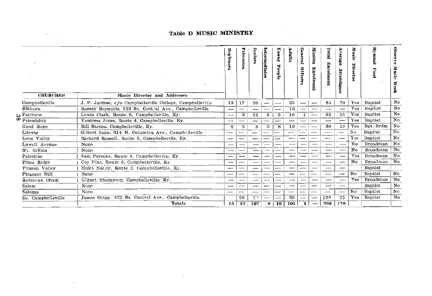# Table D MUSIC MINISTRY

the control of the control of

| <b>CHURCHES</b>                                                                   | Music Director and Addresses                              | Beginners                | Primaries | Junior | Intermediates            | Young<br>People | <b>Adults</b> | General<br>Officer | <b>Mission</b><br>F<br>Eolm<br>Ē | <b>Total</b><br>Enrolment | Атегаде<br>Attendance    | Music<br>ă<br>rottor      | Ę<br><b>Dsed</b> | <b>Observ</b><br>$\bullet$<br>Music<br>€<br>ńж |
|-----------------------------------------------------------------------------------|-----------------------------------------------------------|--------------------------|-----------|--------|--------------------------|-----------------|---------------|--------------------|----------------------------------|---------------------------|--------------------------|---------------------------|------------------|------------------------------------------------|
| Campbellsville                                                                    | J. P. Jardine, c/o Campbellsville College, Campbellsville | 13                       | 17        | 20     | $\overline{\phantom{0}}$ | --              | 35            | —                  |                                  | 85                        | 70                       | Yes                       | <b>Baptist</b>   | No                                             |
| Elkhorn                                                                           | Romey Reynolds, 123 So. Central Ave., Campbellsville      | $\overline{\phantom{0}}$ |           |        | --                       |                 | 16            |                    |                                  | --                        |                          | Yes                       | Baptist          | No.                                            |
|                                                                                   | Lewis Clark, Route 6, Campbellsville, Ky.                 | -                        | 3         | 12     | 5                        | 2               | 10            | 1                  |                                  | 33                        | 15                       | Yes                       | <b>Baptist</b>   | No                                             |
| $\overset{\mathbf{w}}{\mathbf{\infty}} \frac{\text{Fairview}}{\text{Friendship}}$ | Vontress Jones, Route 4, Campbellsville, Ky.              | —                        |           | —      | $\overline{\phantom{a}}$ | --              |               | —                  | ---                              | –                         |                          | Yes                       | <b>Baptist</b>   | No.                                            |
| Good Hope                                                                         | Bill Barnes, Campbellsville, Ky.                          | 2                        | 2         | 5      | 8                        | 8               | 10            |                    |                                  | 30                        | 10                       | Yes                       | Bpt.-Brdm        | No                                             |
| Liberty                                                                           | Gilbert Sapp, 314 N. Columbia Ave., Campbellsville .      | —                        | --        |        | —⊶                       | -               | —             | $\sim$             | --                               | --                        | $\overline{\phantom{0}}$ | $\mathbf{N}\mathbf{o}$    | Baptist          | No                                             |
| Lone Valley                                                                       | Richard Russell. Route 5. Campbellsville, Ky.             | --                       |           | --     |                          |                 | --            |                    |                                  | --                        |                          | Yes                       | Bantist          | No                                             |
| Lowell Avenue                                                                     | Nope                                                      | –                        |           | -      | —                        | --              | -             | -                  |                                  |                           |                          | No                        | Broadman         | No                                             |
| Mt. Gilboa                                                                        | None                                                      | —                        |           | --     | --                       |                 | --            |                    |                                  | --                        |                          | No                        | Broadman         | No                                             |
| Palestine                                                                         | Sam Parsons, Route 4, Campbellsville, Ky.                 | -                        | --        |        |                          | --              |               |                    |                                  | --                        |                          | Yes                       | Broadman         | No                                             |
| Pikes Ridge                                                                       | Coy Pike, Route 5, Campbellsville, Ky.                    | --                       |           | --     | —                        | -               | ---           |                    |                                  | $\overline{\phantom{0}}$  |                          | No                        | Broadman         | $\mathbf{N} \mathbf{o}$                        |
| Pitman Valley                                                                     | Hulet Nalley, Route 2, Campbellsville, Ky.                | --                       |           | -      |                          | ----            | --            | -                  |                                  | $\overline{\phantom{0}}$  | --                       |                           | Baptist          |                                                |
| Pleasant Hill                                                                     | None                                                      | ٮ                        |           |        |                          |                 |               |                    |                                  |                           | ست                       | $\mathbf{N}$ <sub>0</sub> | Baptist          | No                                             |
| Robinson Creek                                                                    | Gilbert Thompson, Campbellsville, Ky.                     | --                       |           |        | ---                      |                 | --            |                    | ---                              | ---                       |                          | Yes                       | Broadman         | No                                             |
| Salem                                                                             | None                                                      | $\overline{\phantom{0}}$ |           |        | --                       |                 | --            | --                 |                                  | -                         |                          |                           | Baptist          | $\mathbf{N} \mathbf{o}$                        |
| Saloma                                                                            | Nono                                                      | -                        | -         | —      | _                        | --              | --            |                    |                                  | —                         |                          | No                        | Baptist          | No                                             |
| So. Campbellsville                                                                | James Shipp, 422 So. Central Ave., Campbellsvilie         |                          | 20        | 7.1    |                          |                 | 30            |                    |                                  | 120                       | 75                       | Yes                       | <b>Baptist</b>   | No                                             |
|                                                                                   | Totals                                                    | 15                       | 42        | 107    | 8                        | 10              | 101           |                    |                                  | 268                       | 170                      |                           |                  |                                                |

 $\sim 1000$  km s  $^{-1}$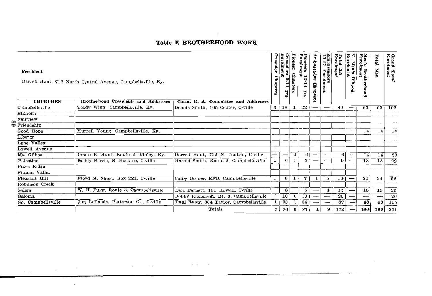# Table E BROTHERHOOD WORK

| President           |                    | Dar. ell Hunt, 712 North Central Avenue, Campbellsville, Ky. |                                        | Crusader<br>Chapters | Crusaders<br>Enrolment<br>۴<br>Ĕ<br>ч | ioneer<br>Chapters | <b>Fioneers</b><br>ş<br>rolment<br>12-14<br>yrs. | Ambassador<br>Chapters   | Ambassadors<br>15-17 Enrolm<br>ğ | Total RA<br>Enrolment | Enrolment<br>Men's<br><b>B'hood</b> | Men's Brot<br>Enrolment<br><b>Brotherhoo</b><br>ā, | Total<br>Men | Grand Total<br>Enrolment |
|---------------------|--------------------|--------------------------------------------------------------|----------------------------------------|----------------------|---------------------------------------|--------------------|--------------------------------------------------|--------------------------|----------------------------------|-----------------------|-------------------------------------|----------------------------------------------------|--------------|--------------------------|
|                     | <b>CHURCHES</b>    | <b>Brotherhood Presidents and Addresses</b>                  | Chrm. R. A. Committee and Addresses    |                      |                                       |                    |                                                  |                          |                                  |                       |                                     |                                                    |              |                          |
| Campbellsville      |                    | Teddy Winn, Campbellsville, Ky.                              | Dennis Smith, 105 Center, C-ville      |                      | $3 + 18 + 1$                          |                    | $22 -$                                           |                          |                                  | 40 <sub>1</sub>       |                                     | 63                                                 | 63           | 103                      |
| Elkhorn             |                    |                                                              |                                        |                      |                                       |                    |                                                  |                          |                                  |                       |                                     |                                                    |              |                          |
| Fairview            |                    |                                                              |                                        |                      |                                       |                    |                                                  |                          |                                  |                       |                                     |                                                    |              |                          |
| <b>CO</b> Fait view |                    |                                                              |                                        |                      |                                       |                    |                                                  |                          |                                  |                       |                                     |                                                    |              |                          |
| Good Hope           |                    | Murrell Young, Campbellsville, Ky.                           |                                        |                      |                                       |                    |                                                  |                          |                                  |                       |                                     | 14                                                 | 14           | $\overline{14}$          |
| Liberty             |                    |                                                              |                                        |                      |                                       |                    |                                                  |                          |                                  |                       |                                     |                                                    |              |                          |
| Lone Valley         |                    |                                                              |                                        |                      |                                       |                    |                                                  |                          |                                  |                       |                                     |                                                    |              |                          |
| Lowell Avenue       |                    |                                                              |                                        |                      |                                       |                    |                                                  |                          |                                  |                       |                                     |                                                    |              |                          |
| Mt. Gilboa          |                    | James R. Hunt, Route 2, Finley, Ky.                          | Darrell Hunt, 712 N. Central, C-ville  |                      | $\overline{\phantom{0}}$              | 1                  | 6 <sup>1</sup>                                   |                          |                                  | 6 <sup>1</sup>        |                                     | $\overline{14}$                                    | 14           | $\overline{20}$          |
| Palestine           |                    | Buddy Harris, N. Hoskins, C-ville                            | Harold Smith, Route 2, Campbellsville  | 1                    | 6 <sup>1</sup>                        | 1                  | 3 <sub>1</sub>                                   | -                        |                                  | 9İ                    |                                     | 13                                                 | 13           | $\overline{22}$          |
| Pikes Ridge         |                    |                                                              |                                        |                      |                                       |                    |                                                  |                          |                                  |                       |                                     |                                                    |              |                          |
| Pitman Valley       |                    |                                                              |                                        |                      |                                       |                    |                                                  |                          |                                  |                       |                                     |                                                    |              |                          |
| Pleasant Hill       |                    | Floyd M. Short, Box 221, C-ville                             | Colby Deener, RFD, Campbellsville      |                      | 6                                     | 1                  | 7                                                |                          | 5                                | 18 <sub>1</sub>       |                                     | 34                                                 | 34           | $\overline{52}$          |
|                     | Robinson Creek     |                                                              |                                        |                      |                                       |                    |                                                  |                          |                                  |                       |                                     |                                                    |              |                          |
| Salem               |                    | W. H. Bugg, Route 3, Campbellsville                          | Earl Barnett, 101 Howell, C-ville      |                      | 3                                     |                    |                                                  | $5 -$                    | 4                                | 12                    |                                     | $\overline{13}$                                    | 13           | 25                       |
| Saloma              |                    |                                                              | Bobby Richerson, Rt. 3, Campbellsville | 1                    | 10                                    |                    | 10 <sub>1</sub>                                  | $\overline{\phantom{a}}$ | $\overline{\phantom{m}}$         | 20                    |                                     | --                                                 | --           | 20                       |
|                     | So. Campbellsville | Jim LeFande, Patterson Ct., C-ville                          | Paul Raley, 304 Taylor, Campbellsville | 1                    | 33                                    | 1                  | 34                                               |                          |                                  | 67                    |                                     | 48                                                 | 48           | 115                      |
|                     |                    |                                                              | Totals                                 | $\mathbf{7}$         | 76                                    | 6                  | 87                                               | 1                        | 9 <sub>1</sub>                   | 172                   |                                     | 109                                                | 199          | 371                      |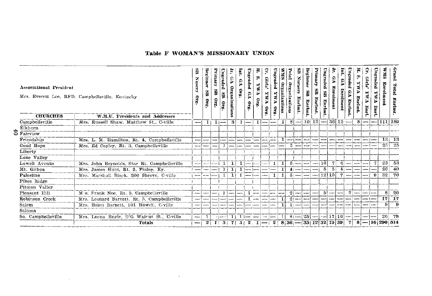# Table F WOMAN'S MISSIONARY UNION

 $\sim 100$ 

|                       | <b>Associational President</b><br><b>CHURCHES</b> | Mrs. Everett Lee, RFD, Campbellsville, Kentucky<br>W.M.U. Presidents and Addresses | æ<br><b>Nusery</b><br>ş  | Beginner<br>e<br>340 | Primary<br>g<br>S10 | Ungraded<br>g<br>Sig | Ω<br>Organizations | Imt.<br>S.<br>$\mathbf{a}$                                                                                             | Ungraded<br>6A<br>$\mathbf{s}_{10}$ | Ŧ,<br>φ<br><b>FWE</b><br>91Q | ុ<br>Ging<br>VMX<br>9.IO | nag<br>Lu≹<br>pope.<br>ΔÃ<br>$\mathbf{a}$ | SINM<br>Organizations | <b>Cotal</b><br>Organizations | H<br>Nursery<br>Enrlmt. | Beginner<br>$\mathbf{g}$<br>Enrlmt. | erinaary<br>g<br>Enrimt. | Ungraded<br>G<br>Enrimi | F<br>P<br>Enrolmen | Į.<br>$\mathbf{B}$<br>arelnent | Jngraded<br>ç,<br>Mariant | F<br>œ<br>VMX<br>Enrlmt | ş<br>Girls'<br>VALX<br><b>Enri</b> | Ungraded<br>VMX<br>Bart. | SWM<br>Pur       | Grand<br>Total<br>Enrimt. |
|-----------------------|---------------------------------------------------|------------------------------------------------------------------------------------|--------------------------|----------------------|---------------------|----------------------|--------------------|------------------------------------------------------------------------------------------------------------------------|-------------------------------------|------------------------------|--------------------------|-------------------------------------------|-----------------------|-------------------------------|-------------------------|-------------------------------------|--------------------------|-------------------------|--------------------|--------------------------------|---------------------------|-------------------------|------------------------------------|--------------------------|------------------|---------------------------|
|                       | Campbellsville                                    | Mrs. Russell Shaw, Matthew St., C-ville                                            | — 1                      | -14                  |                     | $1 -$                | -3                 |                                                                                                                        | $1 -$                               | ı                            | ---                      | --                                        | 11                    | 8                             | —— i                    |                                     | $10 12  - 36 12 -$       |                         |                    |                                |                           |                         | $81-$                              |                          | 111 189          |                           |
| Elkhorn               |                                                   |                                                                                    |                          |                      |                     |                      |                    |                                                                                                                        |                                     |                              |                          |                                           |                       |                               |                         |                                     |                          |                         |                    |                                |                           |                         |                                    |                          |                  |                           |
| $S_{\text{Pairview}}$ |                                                   |                                                                                    |                          |                      |                     |                      |                    |                                                                                                                        |                                     |                              |                          |                                           |                       |                               |                         |                                     |                          |                         |                    |                                |                           |                         |                                    |                          |                  |                           |
| Friendship            |                                                   | Mrs. L. M. Hamilton, Rt. 4, Campbellsville                                         | --                       |                      |                     |                      |                    |                                                                                                                        |                                     |                              |                          | ---                                       |                       | --                            |                         |                                     |                          |                         |                    |                                |                           |                         |                                    |                          | 13 <sub>1</sub>  | -13                       |
| Good Hope             |                                                   | Mrs. Ed Copley, Rt. 3, Campbellsville                                              | $\overline{\phantom{a}}$ |                      |                     |                      |                    |                                                                                                                        |                                     |                              |                          |                                           |                       | ň.                            |                         |                                     |                          |                         |                    |                                |                           |                         |                                    |                          | 25               | 25                        |
| Liberty               |                                                   |                                                                                    |                          |                      |                     |                      |                    |                                                                                                                        |                                     |                              |                          |                                           |                       |                               |                         |                                     |                          |                         |                    |                                |                           |                         |                                    |                          |                  |                           |
| Lone Valley           |                                                   |                                                                                    |                          |                      |                     |                      |                    |                                                                                                                        |                                     |                              |                          |                                           |                       |                               |                         |                                     |                          |                         |                    |                                |                           |                         |                                    |                          |                  |                           |
|                       | Lowell Avenue                                     | Mrs. John Reynolds, Star Rt. Campbellsville                                        |                          |                      |                     |                      |                    |                                                                                                                        |                                     |                              |                          |                                           |                       |                               | $5 -$                   |                                     | ┈                        | 10                      | 7                  | 6                              |                           |                         |                                    |                          | 23               | 53                        |
| Mt. Gilboa            |                                                   | Mrs. James Hunt, Rt. 2, Finley, Ky.                                                | --                       |                      |                     |                      |                    |                                                                                                                        |                                     |                              |                          |                                           |                       | $41-$                         |                         |                                     |                          | $\frac{5}{2}$           | 5                  | 4                              |                           |                         |                                    |                          | 26               | 40                        |
| Palestine             |                                                   | Mrs. Marshall Black, 206 Shreve, C-ville                                           | --                       |                      |                     |                      | 1                  |                                                                                                                        |                                     |                              |                          | 1                                         |                       |                               | 5(                      |                                     |                          | 12 10                   |                    | $\tau$                         | --                        |                         |                                    | - 81                     | 32               | 70                        |
| Pikes Ridge           |                                                   |                                                                                    |                          |                      |                     |                      |                    |                                                                                                                        |                                     |                              |                          |                                           |                       |                               |                         |                                     |                          |                         |                    |                                |                           |                         |                                    |                          |                  |                           |
|                       | Pitman Valley                                     |                                                                                    |                          |                      |                     |                      |                    |                                                                                                                        |                                     |                              |                          |                                           |                       |                               |                         |                                     |                          |                         |                    |                                |                           |                         |                                    |                          |                  |                           |
| Pleasant Hill         |                                                   | M s. Frank Noe, Rt. 3, Campbellsville                                              | ---                      |                      |                     | 1.                   |                    |                                                                                                                        |                                     |                              |                          |                                           |                       | $21-$                         |                         |                                     |                          | $\vert$ 5               |                    |                                | 7                         |                         |                                    |                          | 8                | -20                       |
|                       | Robinson Creek                                    | Mrs. Leonard Barnett, Rt. 5, Campbellsville                                        |                          |                      | ÷                   |                      |                    |                                                                                                                        |                                     |                              |                          |                                           |                       | $21 -$                        |                         |                                     |                          |                         |                    |                                |                           |                         |                                    |                          | 171              | 17                        |
| Salem                 |                                                   | Mrs. Helen Barnett, 101 Howell, C-ville                                            |                          |                      |                     |                      |                    |                                                                                                                        |                                     |                              |                          |                                           |                       | $1 -$                         |                         |                                     |                          |                         |                    |                                |                           |                         |                                    |                          | 91               | -9                        |
| Saloma                |                                                   |                                                                                    |                          |                      |                     |                      |                    |                                                                                                                        |                                     |                              |                          |                                           |                       |                               |                         |                                     |                          |                         |                    |                                |                           |                         |                                    |                          |                  |                           |
|                       | So. Campbellsville                                | Mrs. Leona Engle, 205 Walrut St., C-ville                                          | ---                      |                      |                     | $+1$ = = $-1$        | 1                  |                                                                                                                        |                                     |                              |                          |                                           |                       |                               |                         | $41 - 25$ --                        |                          |                         | 17 10              |                                |                           |                         |                                    |                          | 26               | -78                       |
|                       |                                                   | Totals                                                                             | — i                      | $-2+$                |                     |                      |                    | $1 \mid 5 \mid 7 \mid 5 \mid 2$ , $1 \mid - \mid 2 \mid 8 \mid 36 \mid - \mid 35 \mid 12 \mid 32 \mid 75 \mid 39 \mid$ |                                     |                              |                          |                                           |                       |                               |                         |                                     |                          |                         |                    |                                | -71                       |                         |                                    |                          | $8 - 16$ 290 514 |                           |

 $\sim$   $\sim$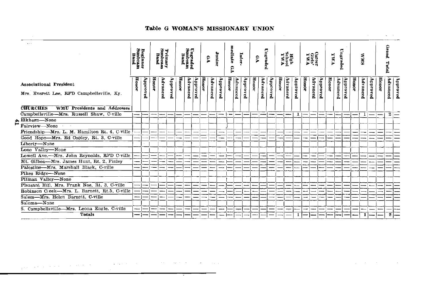|                                                                             |                             |          |       |                            |          |       |                             |          |       |          |          |               |          |          |                |          |          |       |                              |          |       |                        |          |       |          |          |       |          |          |       | $\mathbf{e}_i$ .      |          |
|-----------------------------------------------------------------------------|-----------------------------|----------|-------|----------------------------|----------|-------|-----------------------------|----------|-------|----------|----------|---------------|----------|----------|----------------|----------|----------|-------|------------------------------|----------|-------|------------------------|----------|-------|----------|----------|-------|----------|----------|-------|-----------------------|----------|
| $\sim$                                                                      | Beginner<br>Sunbeam<br>Band |          |       | Primary<br>Sunbeam<br>Band |          |       | Ungraded<br>Sunbeam<br>Band |          |       | 9A       | Junior   | mediate<br>ę4 | Linter-  |          | P <sub>9</sub> | Ungraded |          |       | <b>High</b><br>Sehool<br>YWA |          |       | Career<br>Griev<br>VWA |          | FMA   | Ungraded |          |       | SKA      |          |       | Grand<br><b>Total</b> |          |
| <b>Associational President</b><br>Mrs. Everett Lee, RFD Campbellsville, Ky. | Honor                       | Approved | Honor | Advanced                   | Approved | Honor | Advanced                    | Approved | Honor | Advanced | Panoaddy | Honor         | Advanced | Approved | Honor          | Advanced | Approved | Honor | Advanced                     | ралологр | Homor | Advanced               | Approved | Honor | Advanced | Approved | Honor | Advanced | Аррготеа | Honor | Advanced              | Approved |
| <b>CHURCHES</b><br><b>WMU Presidents and Addresses</b>                      |                             |          |       |                            |          |       |                             |          |       |          |          |               |          |          |                |          |          |       |                              |          |       |                        |          |       |          |          |       |          |          |       |                       |          |
| Campbellsville-Mrs. Russell Shaw, C-ville<br>Elkhorn-None                   |                             |          |       |                            |          |       |                             |          |       |          |          | -             |          |          |                |          |          |       |                              | ı        | --    |                        |          |       |          |          |       | 1        |          |       | 2 <sub>1</sub>        |          |
| Fairview-None                                                               |                             |          |       |                            |          |       |                             |          |       |          |          |               |          |          |                |          |          |       |                              |          |       |                        |          |       |          |          |       |          |          |       |                       |          |
| Friendship-Mrs. L. M. Hamilton Rt. 4, C-ville                               |                             |          |       |                            |          |       |                             |          |       |          |          |               |          |          |                |          |          |       |                              |          |       |                        |          |       |          |          |       |          |          |       |                       |          |
| Good Hope-Mrs. Ed Copley, Rt. 3, C-ville                                    |                             |          |       |                            |          |       |                             |          |       |          |          |               |          |          |                |          |          |       |                              |          |       |                        |          |       |          |          |       |          |          |       |                       |          |
| Liberty-None                                                                |                             |          |       |                            |          |       |                             |          |       |          |          |               |          |          |                |          |          |       |                              |          |       |                        |          |       |          |          |       |          |          |       |                       |          |
| Lone Valley-None                                                            |                             |          |       |                            |          |       |                             |          |       |          |          |               |          |          |                |          |          |       |                              |          |       |                        |          |       |          |          |       |          |          |       |                       |          |
| Lowell Ave.---Mrs. John Reynolds, RFD C-ville                               |                             |          |       |                            |          |       |                             |          |       |          |          |               |          |          |                |          |          |       |                              |          |       |                        |          |       |          |          |       |          |          |       |                       |          |
| Mt. Gilboa-Mrs. James Hunt. Rt. 2. Finley                                   |                             |          |       |                            |          |       |                             |          |       |          |          |               |          |          |                |          |          |       |                              |          |       |                        |          |       |          |          |       |          |          |       |                       |          |
| Palestine-Mrs, Marshall Black, C-ville                                      |                             |          |       |                            |          |       |                             |          |       |          |          |               |          |          |                |          |          |       |                              |          |       |                        |          |       |          |          |       |          |          |       |                       |          |
| Pikes Ridge-None                                                            |                             |          |       |                            |          |       |                             |          |       |          |          |               |          |          |                |          |          |       |                              |          |       |                        |          |       |          |          |       |          |          |       |                       |          |
| Pitman Valley-None                                                          |                             |          |       |                            |          |       |                             |          |       |          |          |               |          |          |                |          |          |       |                              |          |       |                        |          |       |          |          |       |          |          |       |                       |          |
| Pleasant Hill, Mrs. Frank Noe, Rt. 3, C-ville                               |                             |          |       |                            |          |       |                             |          |       |          |          |               |          |          |                |          |          |       |                              |          | ---   |                        |          |       |          |          |       |          |          |       |                       |          |
| Robinson Creek-Mrs. L. Barnett, Rt.5, C-ville                               |                             |          |       |                            |          |       |                             |          |       |          |          |               |          |          |                |          |          |       |                              |          |       |                        |          |       |          |          |       |          |          |       |                       |          |
| Salem-Mrs. Helen Barnett, C-ville                                           |                             |          |       |                            |          |       |                             |          |       |          |          |               |          |          |                |          |          |       |                              |          | --    |                        |          |       |          |          |       |          |          |       |                       |          |
| Saloma-None                                                                 |                             |          |       |                            |          |       |                             |          |       |          |          |               |          |          |                |          |          |       |                              |          |       |                        |          |       |          |          |       |          |          |       |                       |          |
| S. Campbellsville-Mrs. Leona Engle, C-ville                                 |                             |          |       |                            |          |       |                             |          |       |          |          |               |          |          |                |          |          |       |                              |          |       |                        |          |       |          |          |       |          |          |       |                       |          |
| Totals                                                                      |                             |          |       |                            |          |       |                             |          |       |          |          |               |          |          |                |          |          |       |                              |          |       |                        |          |       |          |          |       | 1        |          |       | $\mathbf{2}$          |          |

7

### Table G WOMAN'S MISSIONARY UNION

. The constraints of the constraints of the constraints of the constraints of the constraints  $\mathcal{L}_\text{c}$ **CALL CALL**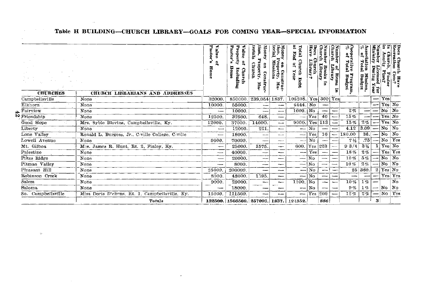| <b>CHURCHES</b>                    | CHURCH LIBRARIANS AND ADDRESSES                  | Pastor<br>valae<br>$\alpha^2$<br>å<br>Hom | Property<br>Pastor's<br>Value<br>요<br>Home<br>Including<br>Churc | tion.<br>terials<br>Money<br>Church<br>g<br>erty.<br>Construc<br>Ę | terial<br>ğ<br>y on Const<br>Property,<br>  Missions<br>Fi<br>P | Total<br>Pug<br>Chur<br>g<br>Year<br>g<br>Debt | <b>PORS</b><br>lave<br>Church<br>Library? | ă<br>umber<br>ó<br>Library<br>Baoks<br>Ē | Numb<br>Ohurel<br>Cibrary<br>ltems | Cooperative<br>% of Total<br>Program<br>Budget | Association<br>% of Total<br>Total<br><b>Mission</b><br>Budget | Number<br>Ministry<br>pasma<br>g)<br>Ļor | Grani<br>Anuit<br>Paston | g<br>anar<br>ation<br>ा<br>अध्य |
|------------------------------------|--------------------------------------------------|-------------------------------------------|------------------------------------------------------------------|--------------------------------------------------------------------|-----------------------------------------------------------------|------------------------------------------------|-------------------------------------------|------------------------------------------|------------------------------------|------------------------------------------------|----------------------------------------------------------------|------------------------------------------|--------------------------|---------------------------------|
| Campbellsville                     | None                                             | 32000                                     | 850000                                                           | 239.054 1837.                                                      |                                                                 | 105208                                         |                                           | Yes 300 Yes                              |                                    |                                                |                                                                |                                          | Yes                      |                                 |
| Elkhorn                            | None                                             | 10000                                     | 55000.                                                           | ∼                                                                  |                                                                 | 4444.                                          | No                                        | --                                       |                                    |                                                |                                                                |                                          | Yes No                   |                                 |
| Fairview                           | None                                             |                                           | 10000                                                            | ---                                                                | ---                                                             | $1000.$ No                                     |                                           |                                          |                                    | 2%                                             |                                                                |                                          | No No                    |                                 |
| $\overline{\mathbf{w}}$ Friendship | None                                             | 12500                                     | 37500                                                            | 648                                                                | --                                                              |                                                | Yes                                       | 40                                       |                                    | 15%                                            |                                                                |                                          | Yes No                   |                                 |
| Good Hope                          | Mrs. Syble Blevins, Campbellsville, Ky.          | 12000.                                    | 37000                                                            | 14000                                                              | --                                                              | 9000.                                          | Yes                                       | 113                                      |                                    | 15%                                            | 2%                                                             |                                          | Yes No                   |                                 |
| Liberty                            | None                                             | $\overline{\phantom{0}}$                  | 12000                                                            | 221                                                                |                                                                 | --                                             | Nο                                        |                                          |                                    | 4.12                                           | 3.09                                                           |                                          | No                       | No                              |
| Lone Valley                        | Ronald L. Burgess, Jr., C-ville College, C-ville |                                           | 18000                                                            | --                                                                 | ---                                                             | ---                                            | Yes                                       | 10                                       |                                    | 180.00                                         | 36.                                                            |                                          | No                       | N <sub>O</sub>                  |
| Lowell Avenue                      | None                                             | 9000                                      | 70000                                                            | --                                                                 | --                                                              | -                                              | No                                        |                                          |                                    | 7 <sub>1/2</sub>                               | .75                                                            |                                          | No                       | Yes                             |
| Mt. Gilboa                         | Mr.s. James R. Hunt, Rt. 2, Finley, Ky.          |                                           | 25000                                                            | 1575.                                                              |                                                                 | 600.                                           | Yes                                       | 223                                      |                                    | 93/4                                           | $3\frac{1}{4}$                                                 |                                          | Yes No                   |                                 |
| Palestine                          | None                                             |                                           | 40000                                                            | --                                                                 | --                                                              | --                                             | Yes                                       | ---                                      |                                    | 18%                                            | 2%                                                             |                                          | Yes Yes                  |                                 |
| Pikes Ridge                        | None                                             |                                           | 20000.                                                           | سدت                                                                |                                                                 | ----                                           | N <sub>0</sub>                            |                                          |                                    | 10%                                            | 5%                                                             |                                          | N <sub>0</sub>           | $\mathbf{N}_0$                  |
| Pitman Valley                      | None                                             |                                           | 8000                                                             | --                                                                 | --                                                              | $\overline{\phantom{0}}$                       | No                                        |                                          |                                    | 10%                                            | 2%                                                             |                                          | No.                      | No                              |
| Pleasant Hill                      | None                                             | 25000                                     | 200000                                                           | --                                                                 | --                                                              | ---                                            | $N_{\Omega}$                              | j                                        |                                    |                                                | 25 360.                                                        | 2                                        | Yes No                   |                                 |
| Robinson Creek                     | None                                             | 8000                                      | 48000                                                            | 1595.                                                              | --                                                              | --                                             | No                                        | --                                       |                                    |                                                |                                                                |                                          | Yes Yes                  |                                 |
| Salem                              | None                                             | 9000                                      | 29000.                                                           |                                                                    |                                                                 | $1100.$ No                                     |                                           |                                          |                                    | 10%                                            | $1\%$                                                          |                                          |                          | No                              |
| Saloma                             | None                                             |                                           | 18000                                                            |                                                                    |                                                                 | --                                             | No                                        | --                                       |                                    | 9%                                             | 1%                                                             |                                          | No                       | No                              |
| So. Campbellsville                 | Miss Doris Dickens, Rt. 1, Campbellsville, Ky.   | 15000                                     | 111500                                                           | ∼                                                                  |                                                                 | --                                             | Yes                                       | 200                                      |                                    | 12%                                            | 2%                                                             |                                          | $-$ No                   | Yes                             |
|                                    | <b>Totals</b>                                    |                                           | 132500. 1566500. 257093. 1837. 121352.                           |                                                                    |                                                                 |                                                |                                           | 886                                      |                                    |                                                |                                                                | 3                                        |                          |                                 |

 $\cdot$ 

# Table H BUILDING-CHURCH LIBRARY-GOALS FOR COMING YEAR-SPECIAL INFORMATION

 $\sim 100$ 

 $\sigma_{\rm{tot}}$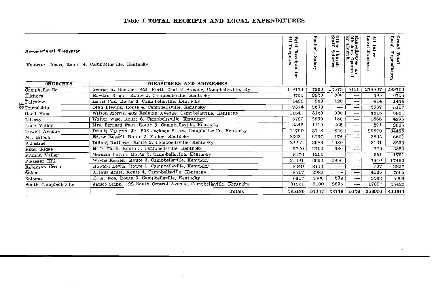| <b>Associational Treasurer</b><br>Vontress, Jones, Route 4, Campbellsville, Kentucky |                                                                  | È<br>Tota<br>Purposes<br>Receip<br>for | œ<br>Salary | Other<br>Staff<br><b>Church</b><br>Salaries | <b>Missions</b> Oper<br>by Church<br>Expenditures<br>ated<br>ខ | È<br><b>Other</b> | Grand<br>Local<br>Expenditu<br>Total |
|--------------------------------------------------------------------------------------|------------------------------------------------------------------|----------------------------------------|-------------|---------------------------------------------|----------------------------------------------------------------|-------------------|--------------------------------------|
| <b>CHURCHES</b>                                                                      | <b>TREASURERS AND ADDRESSES</b>                                  |                                        |             |                                             |                                                                |                   |                                      |
| Campbellsville                                                                       | George R. Buckner, 420 North Central Avenue, Campbellsville, Ky. | 118114                                 | 7200        | 12573                                       | 5126                                                           | 274867            | 299766                               |
| Elkhorn                                                                              | Edward Bright, Route 1, Campbellsville, Kentucky                 | 6755                                   | 3920        | 360                                         |                                                                | 395               | 6755                                 |
| Fairview                                                                             | Lewis Cox. Route 6. Campbellsville, Kentucky                     | 1499                                   | 900         | 120                                         | $\overline{\phantom{0}}$                                       | 414               | 1434                                 |
| <sup>9</sup> Friendship                                                              | Otha Blevins, Route 4, Campbellsville, Kentucky                  | 7374                                   | 2600        |                                             | --                                                             | 2567              | 5167                                 |
| Good Hope                                                                            | Wilson Morris, 402 Redman Avenue, Campbellsville, Kentucky       | 11647                                  | 3120        | 900                                         | $-$                                                            | 4815              | 8835                                 |
| Liberty                                                                              | Walter Wise, Route 6, Campbellsville, Kentucky                   | 5790                                   | 2950        | 180                                         |                                                                | 1865              | 4995                                 |
| Lone Valley                                                                          | Mrs. Bernard Fain, Route 5, Campbellsville, Kentucky             | 3342                                   | 1719        | 265                                         |                                                                | 871               | 2855                                 |
| Lowell Avenue                                                                        | Dennis Vaughn, Jr., 208 Jackson Street, Campbellsville, Kentucky | 14790                                  | 3748        | 829                                         |                                                                | 29879             | 34455                                |
| Mt. Gilboa                                                                           | Edgar Russell, Route 2, Finley, Kentucky                         | 8063                                   | 2737        | 175                                         | —                                                              | 3695              | 6607                                 |
| Palestine                                                                            | Dillard Rafferty, Route 2, Campbellsville, Kentucky              | 24221                                  | 3983        | 1089                                        |                                                                | 3161              | 8233                                 |
| Pikes Ridge                                                                          | E. O. Clark, Route 5, Campbellsville, Kentucky                   | 5720                                   | 2700        | 380                                         | $- - -$                                                        | 770               | 3850                                 |
| Pitman Valley                                                                        | Herman Colvin, Route 2, Campbellsville, Kentucky                 | 2176                                   | 1200        |                                             | –                                                              | 551               | 1751                                 |
| Pleasant Hill                                                                        | Wayne Kessler, Route 3, Campbellsville, Kentucky                 | 31991                                  | 6600        | 2950                                        | $\overline{\phantom{0}}$                                       | 7940              | 17490                                |
| Robinson Creek                                                                       | Howard Lewis, Route 1, Campbellsville, Kentucky                  | 8249                                   | 3120        | $\overline{\phantom{m}}$                    | $\cdots$                                                       | 707               | 3827                                 |
| Salem                                                                                | Arthur Antle, Route 4, Campbellsville, Kentucky                  | 8517                                   | 2980        |                                             | ---                                                            | 4565              | 7505                                 |
| Saloma                                                                               | E. A. Noe, Route 3, Campbellsville, Kentucky                     | 5417                                   | 2600        | 232                                         | —                                                              | 2232              | 5064                                 |
| South Campbellsville                                                                 | James Shipp. 422 South Central Avenue. Campbellsville, Kentucky  | 31521                                  | 5100        | 2695                                        | ---                                                            | 17657             | 25422                                |
|                                                                                      | Totals                                                           | 295186                                 | 57177       | 22718                                       | 5126                                                           | 356951            | 444011                               |

# Table I TOTAL RECEIPTS AND LOCAL EXPENDITURES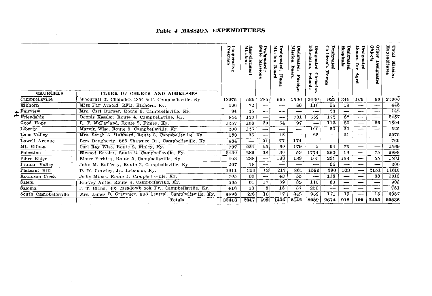# **Table J MISSION EXPENDITURES**

 $\mathcal{L}^{\mathcal{L}}(\mathcal{L}^{\mathcal{L}}(\mathcal{L}^{\mathcal{L}}(\mathcal{L}^{\mathcal{L}}(\mathcal{L}^{\mathcal{L}}(\mathcal{L}^{\mathcal{L}}(\mathcal{L}^{\mathcal{L}}(\mathcal{L}^{\mathcal{L}}(\mathcal{L}^{\mathcal{L}}(\mathcal{L}^{\mathcal{L}}(\mathcal{L}^{\mathcal{L}}(\mathcal{L}^{\mathcal{L}}(\mathcal{L}^{\mathcal{L}}(\mathcal{L}^{\mathcal{L}}(\mathcal{L}^{\mathcal{L}}(\mathcal{L}^{\mathcal{L}}(\mathcal{L}^{\mathcal{L$ 

| <b>CHURCHES</b>      | <b>CLERK OF CHURCH AND ADDRESSES</b>                    | Cooperativ.<br>Program | Associational<br>Missions | State<br>Designated :<br>Biato Mission<br>n. | Mission<br>Designated<br>Boa<br>$\ddot{\bullet}$<br>ž.<br>Hon | Mission<br>Designated<br>Board<br><br>ă<br>œ<br>ğ | Education,<br>Designated<br>Schools<br>Christian | Children's<br>Designated<br>ш | Hospitals<br>Designated  | Designated<br>Homes<br>ដូ<br>Aged | Other<br>Objects<br>Designated | Expen<br>Fotal<br>ditures<br>ğ.<br>ğ. |
|----------------------|---------------------------------------------------------|------------------------|---------------------------|----------------------------------------------|---------------------------------------------------------------|---------------------------------------------------|--------------------------------------------------|-------------------------------|--------------------------|-----------------------------------|--------------------------------|---------------------------------------|
| Campbellsville       | Woodruff T. Chandler, 206 Bell, Campbellsville, Ky.     | 13975                  | 520 <sub>1</sub>          | 285                                          | 695                                                           | 2306                                              | 2460                                             | 922                           | 340                      | 100                               | 60                             | 21663                                 |
| Elkhorn              | Miss Fay Arnold, RFD, Elkhorn, Kv.                      | 100                    | 72                        | $\overline{\phantom{0}}$                     | --                                                            | 86                                                | 116                                              | 55                            | 19                       | $\overline{\phantom{0}}$          | --                             | 448                                   |
| Fairview             | Mrs. Carl Dugger, Route 6, Campbellsville, Ky.          | 94                     | 25                        | $\overline{\phantom{0}}$                     | $\overline{\phantom{a}}$                                      |                                                   | -                                                | 23                            | --                       | $\overline{\phantom{a}}$          | ---                            | 142                                   |
| Friendship           | Dennis Kessler, Route 4. Campbellsville, Ky.            | 844                    | 120                       | $\overline{\phantom{a}}$                     | --                                                            | 731                                               | 552                                              | 172                           | 68                       | -                                 | --                             | 2487                                  |
| Good Hope            | R. T. McFarland, Route 2, Finley, Ky.                   | 1257                   | 168                       | 30                                           | 54                                                            | 97                                                | -                                                | 113                           | 20                       | -                                 | 66                             | 1804                                  |
| Liberty              | Marvin Wise, Route 6, Campbellsville, Ky.               | 200                    | 125                       | $\overline{\phantom{0}}$                     |                                                               |                                                   | 100                                              | 50                            | 50                       | —                                 | --                             | 5.35                                  |
| Lone Valley          | Mrs. Sarah S. Hubbard, Route 5. Campbellsville, Ky.     | 180                    | 36                        |                                              | 18                                                            | —                                                 | 65                                               | -                             | 21                       | ---                               |                                | 2075                                  |
| Lowell Avenue        | Bert Daugherty, 625 Shawnee Dr., Campbellsville, Ky.    | 484                    |                           | 34                                           | 77                                                            | 174                                               | -                                                | --                            | --                       |                                   | --                             | 769                                   |
| Mt. Gilboa           | Carl Ray Wise, Route 2, Finley, Ky.                     | 707                    | 234                       | 65                                           | 60                                                            | 179                                               | $\boldsymbol{2}$                                 | 54                            | 70                       | –                                 | —                              | 1569                                  |
| Palestine            | Elwood Kessler, Route 2. Campbellsville, Ky.            | 2450                   | 289                       | 38                                           | 30                                                            | 53                                                | 1774                                             | 280                           | 19                       |                                   | 75                             | 4999                                  |
| Pikes Ridge          | Elmer Perkins, Route 5, Campbellsville, Ky.             | 403                    | 288                       | --                                           | 188                                                           | 189                                               | 105                                              | 231                           | 133                      | ---                               | 55                             | 1531                                  |
| Pitman Valley        | John M. Rafferty, Route 2. Campbellsville, Ky.          | 207                    | 1.8                       | --                                           | –                                                             | —                                                 |                                                  | 35                            | —                        | ---                               |                                | 260                                   |
| Pleasant Hill        | D. W. Crawley, Jr., Lebanon, Ky.                        | 5911                   | 310                       | 12                                           | 217                                                           | 861                                               | 1596                                             | 390                           | 163                      | ---                               | 2151                           | 11610                                 |
| Robinson Creek       | Jodie Mings, Route 1, Campbellsville, Kv.               | 705                    | 60                        | $-$                                          | 43                                                            | 55                                                | $\overline{\phantom{a}}$                         | 118                           | —                        | —                                 | 33                             | 1013                                  |
| Salem                | Harvey Antle, Route 4, Campbellsville, Ky.              | 585                    | 61                        | 17                                           | 39                                                            | 32                                                | 110                                              | 60                            | $\overline{\phantom{0}}$ |                                   | —                              | 903                                   |
| Saloma               | J. T. Bland, 303 Meadowb ook Dr., Campbellsville, Kv.   | 416                    | 53                        | 8                                            | 18                                                            | 37                                                | 250                                              | --                            | $\overline{\phantom{0}}$ |                                   | $\overline{\phantom{0}}$       | 781                                   |
| South Campbellsville | Mrs. James B. Grammer. 803 Central, Campbellsville, Ky. | 4898                   | 528                       | 10                                           | 17                                                            | 342                                               | 959                                              | 171                           | 15                       |                                   | 15                             | 6957                                  |
|                      | <b>Totals</b>                                           | 33416                  | 2847                      | 499                                          | 1456                                                          | 5142                                              | 8089                                             | 2674                          | 918                      | 100                               | 2455                           | 59536                                 |

 $\sim$